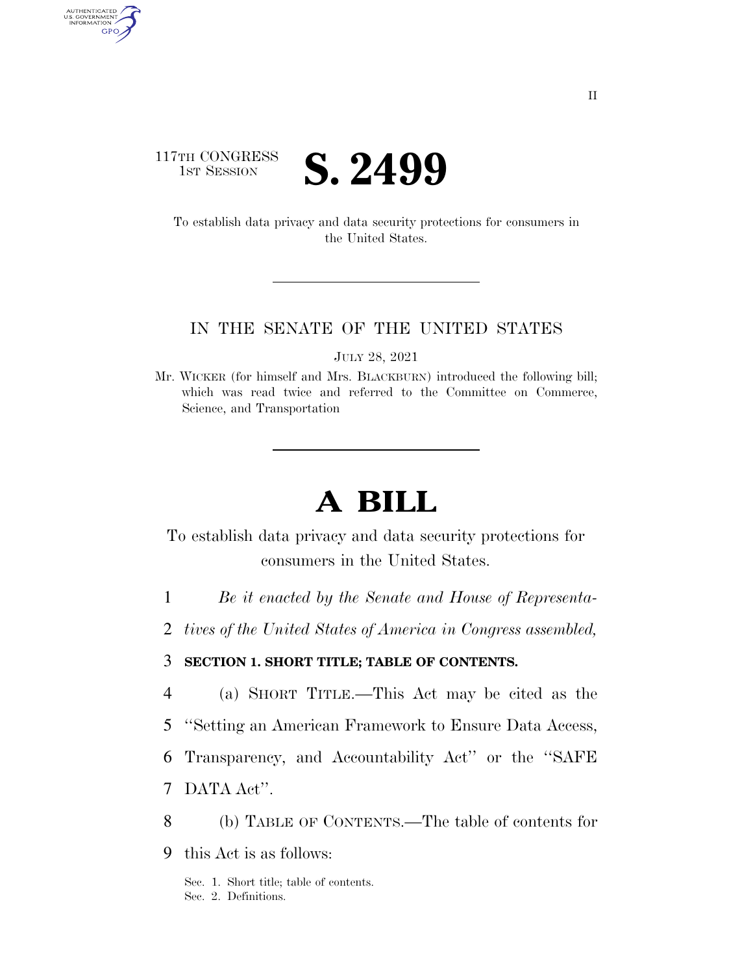

AUTHENTICATED<br>U.S. GOVERNMENT<br>INFORMATION GPO

> To establish data privacy and data security protections for consumers in the United States.

#### IN THE SENATE OF THE UNITED STATES

JULY 28, 2021

Mr. WICKER (for himself and Mrs. BLACKBURN) introduced the following bill; which was read twice and referred to the Committee on Commerce, Science, and Transportation

# **A BILL**

To establish data privacy and data security protections for consumers in the United States.

- 1 *Be it enacted by the Senate and House of Representa-*
- 2 *tives of the United States of America in Congress assembled,*

## 3 **SECTION 1. SHORT TITLE; TABLE OF CONTENTS.**

- 4 (a) SHORT TITLE.—This Act may be cited as the
- 5 ''Setting an American Framework to Ensure Data Access,
- 6 Transparency, and Accountability Act'' or the ''SAFE
- 7 DATA Act''.
- 8 (b) TABLE OF CONTENTS.—The table of contents for
- 9 this Act is as follows:

Sec. 1. Short title; table of contents. Sec. 2. Definitions.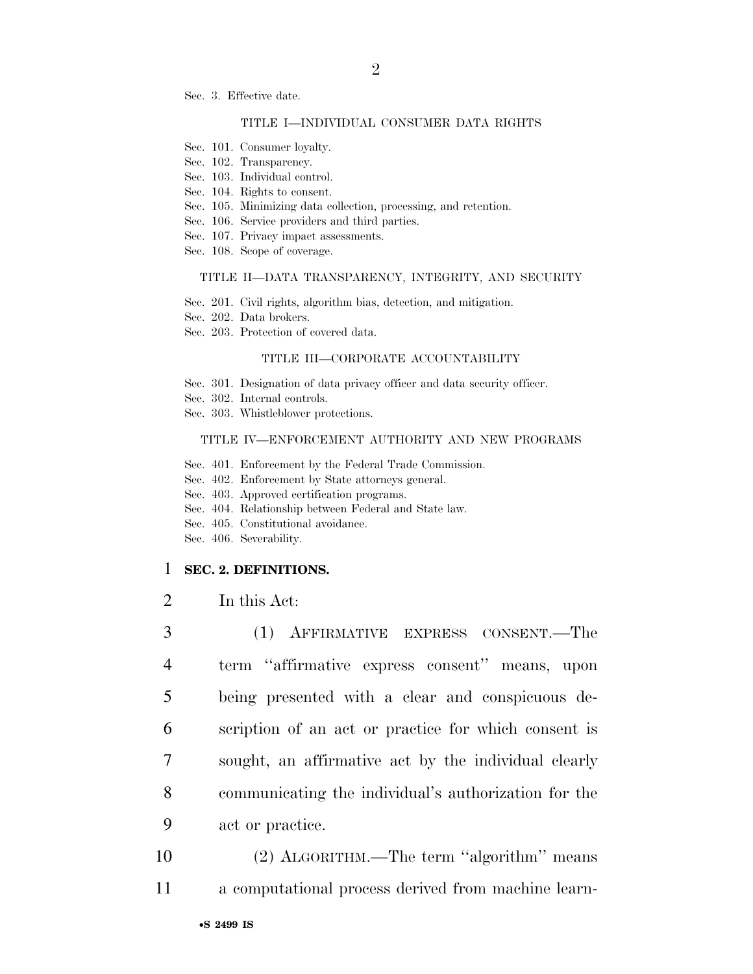Sec. 3. Effective date.

#### TITLE I—INDIVIDUAL CONSUMER DATA RIGHTS

- Sec. 101. Consumer loyalty.
- Sec. 102. Transparency.
- Sec. 103. Individual control.
- Sec. 104. Rights to consent.
- Sec. 105. Minimizing data collection, processing, and retention.
- Sec. 106. Service providers and third parties.
- Sec. 107. Privacy impact assessments.
- Sec. 108. Scope of coverage.

#### TITLE II—DATA TRANSPARENCY, INTEGRITY, AND SECURITY

- Sec. 201. Civil rights, algorithm bias, detection, and mitigation.
- Sec. 202. Data brokers.
- Sec. 203. Protection of covered data.

#### TITLE III—CORPORATE ACCOUNTABILITY

- Sec. 301. Designation of data privacy officer and data security officer.
- Sec. 302. Internal controls.
- Sec. 303. Whistleblower protections.

#### TITLE IV—ENFORCEMENT AUTHORITY AND NEW PROGRAMS

- Sec. 401. Enforcement by the Federal Trade Commission.
- Sec. 402. Enforcement by State attorneys general.
- Sec. 403. Approved certification programs.
- Sec. 404. Relationship between Federal and State law.
- Sec. 405. Constitutional avoidance.
- Sec. 406. Severability.

#### 1 **SEC. 2. DEFINITIONS.**

2 In this Act:

 (1) AFFIRMATIVE EXPRESS CONSENT.—The term ''affirmative express consent'' means, upon being presented with a clear and conspicuous de- scription of an act or practice for which consent is sought, an affirmative act by the individual clearly communicating the individual's authorization for the act or practice.

- 10 (2) ALGORITHM.—The term ''algorithm'' means
- 11 a computational process derived from machine learn-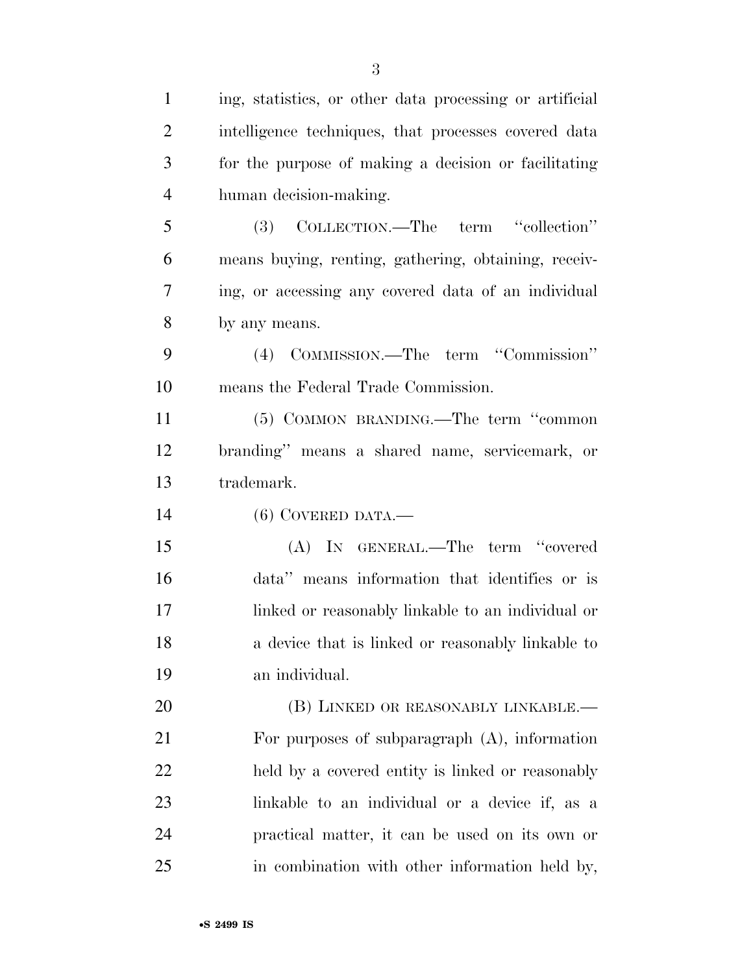| $\mathbf{1}$   | ing, statistics, or other data processing or artificial |
|----------------|---------------------------------------------------------|
| $\overline{2}$ | intelligence techniques, that processes covered data    |
| 3              | for the purpose of making a decision or facilitating    |
| $\overline{4}$ | human decision-making.                                  |
| 5              | (3) COLLECTION.—The term "collection"                   |
| 6              | means buying, renting, gathering, obtaining, receiv-    |
| $\overline{7}$ | ing, or accessing any covered data of an individual     |
| 8              | by any means.                                           |
| 9              | (4) COMMISSION.—The term "Commission"                   |
| 10             | means the Federal Trade Commission.                     |
| 11             | (5) COMMON BRANDING.—The term "common                   |
| 12             | branding" means a shared name, servicemark, or          |
| 13             | trademark.                                              |
| 14             | $(6)$ COVERED DATA.—                                    |
| 15             | (A) IN GENERAL.—The term "covered                       |
| 16             | data" means information that identifies or is           |
| 17             | linked or reasonably linkable to an individual or       |
| 18             | a device that is linked or reasonably linkable to       |
| 19             | an individual.                                          |
| 20             | (B) LINKED OR REASONABLY LINKABLE.—                     |
| 21             | For purposes of subparagraph $(A)$ , information        |
| 22             | held by a covered entity is linked or reasonably        |
| 23             | linkable to an individual or a device if, as a          |
| 24             | practical matter, it can be used on its own or          |
| 25             | in combination with other information held by,          |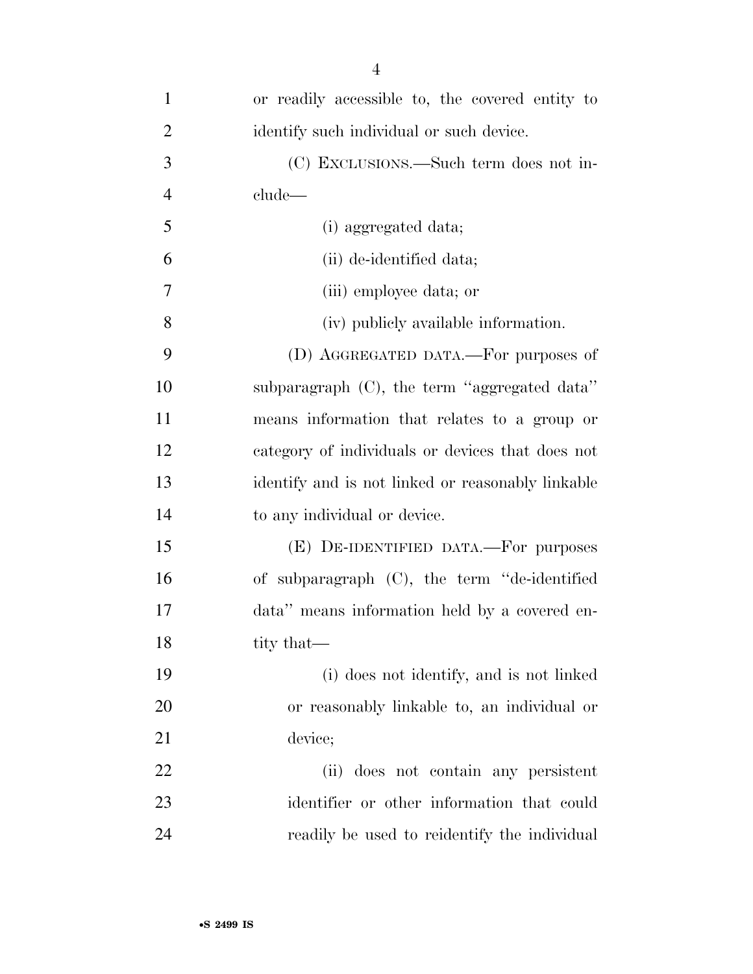| $\mathbf{1}$   | or readily accessible to, the covered entity to   |
|----------------|---------------------------------------------------|
| $\overline{2}$ | identify such individual or such device.          |
| 3              | (C) EXCLUSIONS.—Such term does not in-            |
| $\overline{4}$ | clude—                                            |
| 5              | (i) aggregated data;                              |
| 6              | (ii) de-identified data;                          |
| 7              | (iii) employee data; or                           |
| 8              | (iv) publicly available information.              |
| 9              | (D) AGGREGATED DATA.—For purposes of              |
| 10             | subparagraph $(C)$ , the term "aggregated data"   |
| 11             | means information that relates to a group or      |
| 12             | category of individuals or devices that does not  |
| 13             | identify and is not linked or reasonably linkable |
| 14             | to any individual or device.                      |
| 15             | (E) DE-IDENTIFIED DATA.—For purposes              |
| 16             | of subparagraph (C), the term "de-identified      |
| 17             | data" means information held by a covered en-     |
| 18             | tity that—                                        |
| 19             | (i) does not identify, and is not linked          |
| 20             | or reasonably linkable to, an individual or       |
| 21             | device;                                           |
| 22             | does not contain any persistent<br>(ii)           |
| 23             | identifier or other information that could        |
| 24             | readily be used to reidentify the individual      |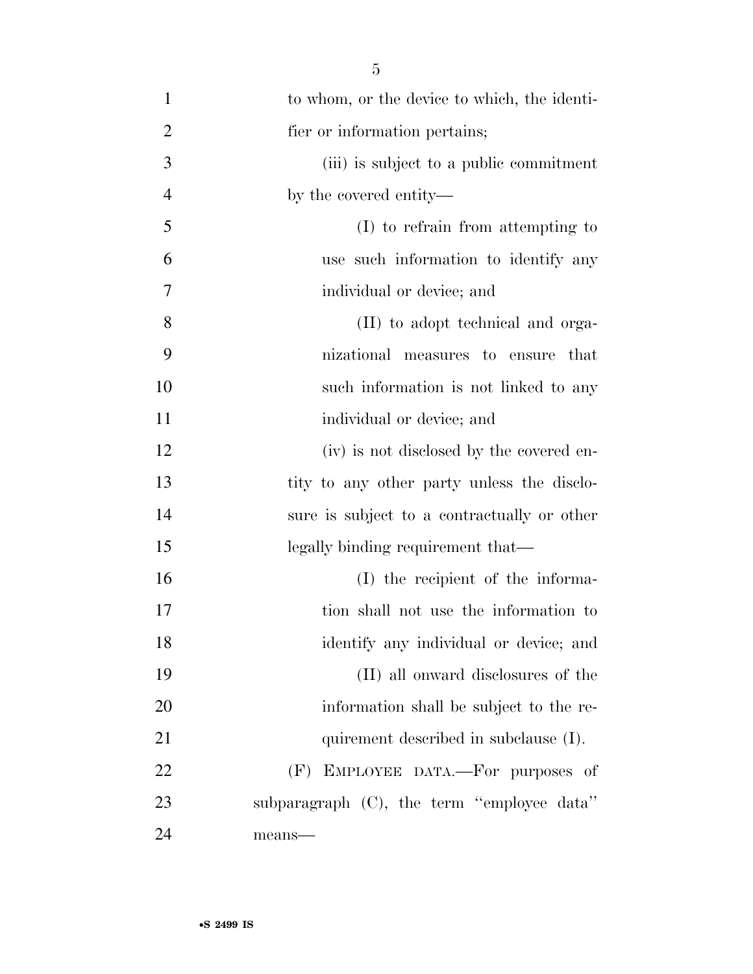| $\mathbf{1}$   | to whom, or the device to which, the identi- |
|----------------|----------------------------------------------|
| $\overline{2}$ | fier or information pertains;                |
| 3              | (iii) is subject to a public commitment      |
| $\overline{4}$ | by the covered entity—                       |
| 5              | (I) to refrain from attempting to            |
| 6              | use such information to identify any         |
| 7              | individual or device; and                    |
| 8              | (II) to adopt technical and orga-            |
| 9              | nizational measures to ensure that           |
| 10             | such information is not linked to any        |
| 11             | individual or device; and                    |
| 12             | (iv) is not disclosed by the covered en-     |
| 13             | tity to any other party unless the disclo-   |
| 14             | sure is subject to a contractually or other  |
| 15             | legally binding requirement that—            |
| 16             | (I) the recipient of the informa-            |
| 17             | tion shall not use the information to        |
| 18             | identify any individual or device; and       |
| 19             | (II) all onward disclosures of the           |
| 20             | information shall be subject to the re-      |
| 21             | quirement described in subclause (I).        |
| 22             | (F) EMPLOYEE DATA.—For purposes of           |
| 23             | subparagraph (C), the term "employee data"   |
| 24             | means-                                       |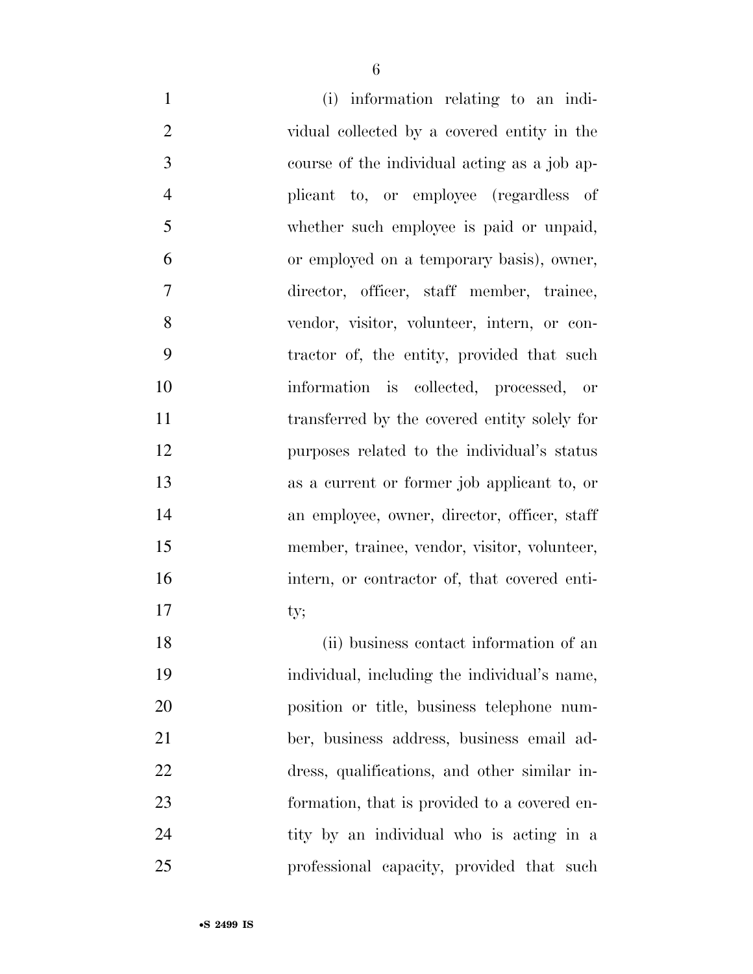| $\mathbf{1}$   | (i) information relating to an indi-         |
|----------------|----------------------------------------------|
| $\overline{2}$ | vidual collected by a covered entity in the  |
| 3              | course of the individual acting as a job ap- |
| $\overline{4}$ | plicant to, or employee (regardless of       |
| 5              | whether such employee is paid or unpaid,     |
| 6              | or employed on a temporary basis), owner,    |
| 7              | director, officer, staff member, trainee,    |
| 8              | vendor, visitor, volunteer, intern, or con-  |
| 9              | tractor of, the entity, provided that such   |
| 10             | information is collected, processed, or      |
| 11             | transferred by the covered entity solely for |
| 12             | purposes related to the individual's status  |
| 13             | as a current or former job applicant to, or  |
| 14             | an employee, owner, director, officer, staff |
| 15             | member, trainee, vendor, visitor, volunteer, |
| 16             | intern, or contractor of, that covered enti- |
| 17             | ty;                                          |
| 18             | (ii) business contact information of an      |
| 19             | individual, including the individual's name, |
| 20             | position or title, business telephone num-   |
| 21             | ber, business address, business email ad-    |
| 22             | dress, qualifications, and other similar in- |
| 23             | formation, that is provided to a covered en- |
| 24             | tity by an individual who is acting in a     |
|                |                                              |

professional capacity, provided that such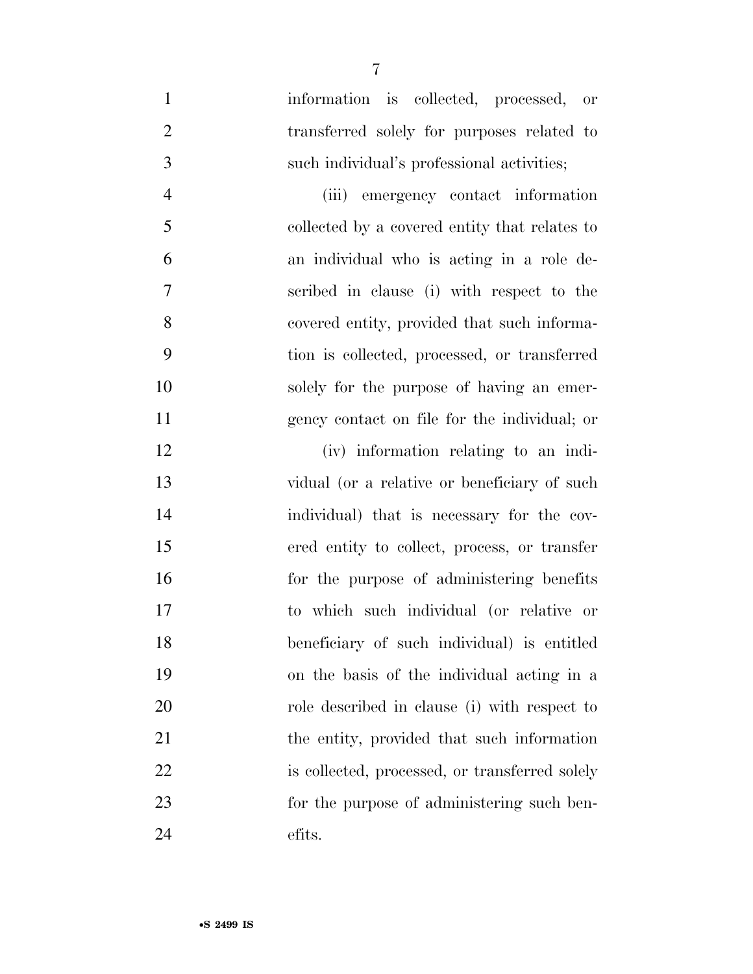information is collected, processed, or 2 transferred solely for purposes related to such individual's professional activities;

 (iii) emergency contact information collected by a covered entity that relates to an individual who is acting in a role de- scribed in clause (i) with respect to the covered entity, provided that such informa- tion is collected, processed, or transferred solely for the purpose of having an emer-gency contact on file for the individual; or

 (iv) information relating to an indi- vidual (or a relative or beneficiary of such individual) that is necessary for the cov- ered entity to collect, process, or transfer for the purpose of administering benefits to which such individual (or relative or beneficiary of such individual) is entitled on the basis of the individual acting in a role described in clause (i) with respect to the entity, provided that such information is collected, processed, or transferred solely for the purpose of administering such ben-efits.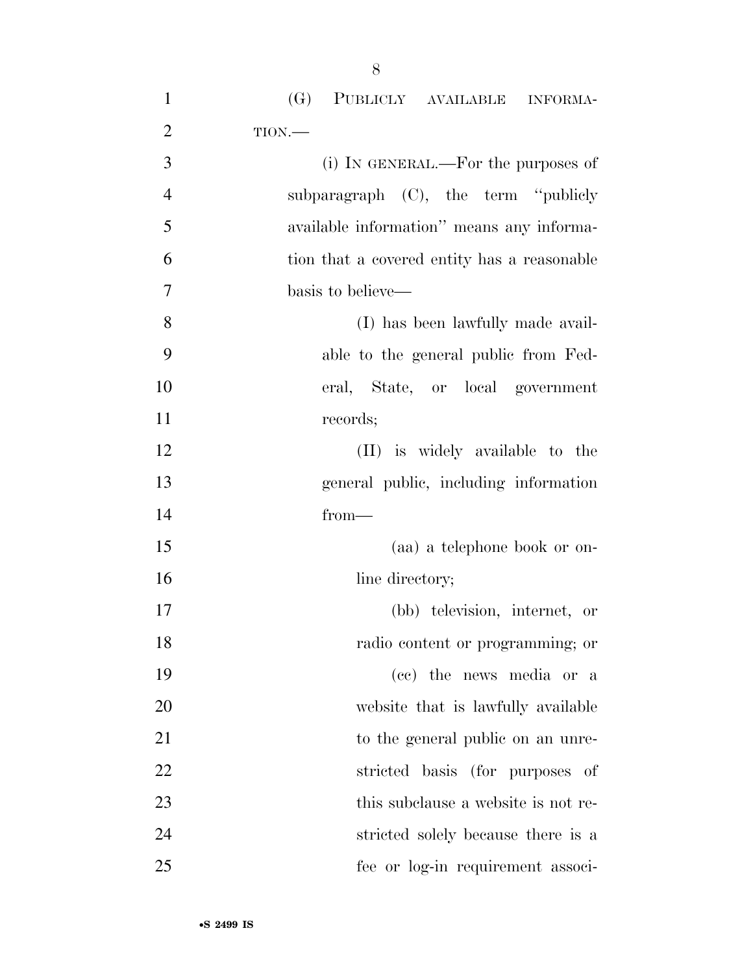(G) PUBLICLY AVAILABLE INFORMA- TION.— 3 (i) IN GENERAL.—For the purposes of subparagraph (C), the term ''publicly available information'' means any informa- tion that a covered entity has a reasonable basis to believe— (I) has been lawfully made avail- able to the general public from Fed- eral, State, or local government 11 records; 12 (II) is widely available to the general public, including information from— (aa) a telephone book or on-16 line directory; (bb) television, internet, or radio content or programming; or (cc) the news media or a website that is lawfully available 21 to the general public on an unre- stricted basis (for purposes of 23 this subclause a website is not re-stricted solely because there is a

fee or log-in requirement associ-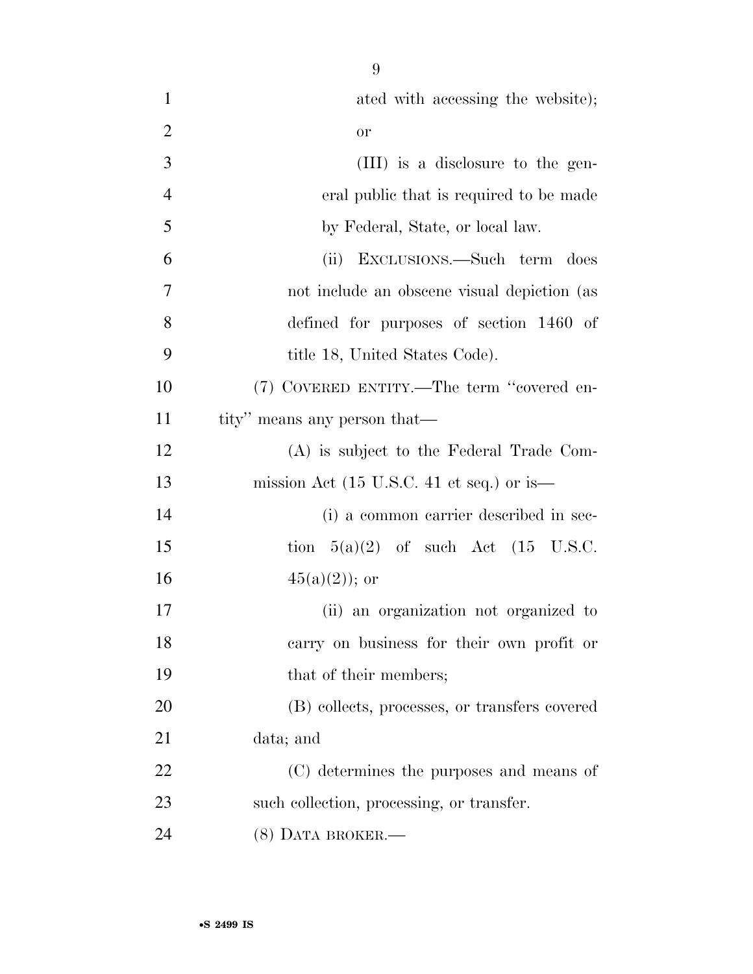| $\mathbf{1}$     | ated with accessing the website);                            |
|------------------|--------------------------------------------------------------|
| $\overline{2}$   | <b>or</b>                                                    |
| 3                | (III) is a disclosure to the gen-                            |
| $\overline{4}$   | eral public that is required to be made                      |
| 5                | by Federal, State, or local law.                             |
| 6                | (ii) EXCLUSIONS.—Such term does                              |
| $\boldsymbol{7}$ | not include an obscene visual depiction (as                  |
| 8                | defined for purposes of section 1460 of                      |
| 9                | title 18, United States Code).                               |
| 10               | (7) COVERED ENTITY.—The term "covered en-                    |
| 11               | tity" means any person that—                                 |
| 12               | (A) is subject to the Federal Trade Com-                     |
| 13               | mission Act $(15 \text{ U.S.C. } 41 \text{ et seq.})$ or is— |
| 14               | (i) a common carrier described in sec-                       |
| 15               | tion $5(a)(2)$ of such Act $(15 \text{ U.S.C.})$             |
| 16               | $45(a)(2)$ ; or                                              |
| $17\,$           | (ii) an organization not organized to                        |
| 18               | carry on business for their own profit or                    |
| 19               | that of their members;                                       |
| 20               | (B) collects, processes, or transfers covered                |
| 21               | data; and                                                    |
| 22               | (C) determines the purposes and means of                     |
| 23               | such collection, processing, or transfer.                    |
| 24               | $(8)$ DATA BROKER.—                                          |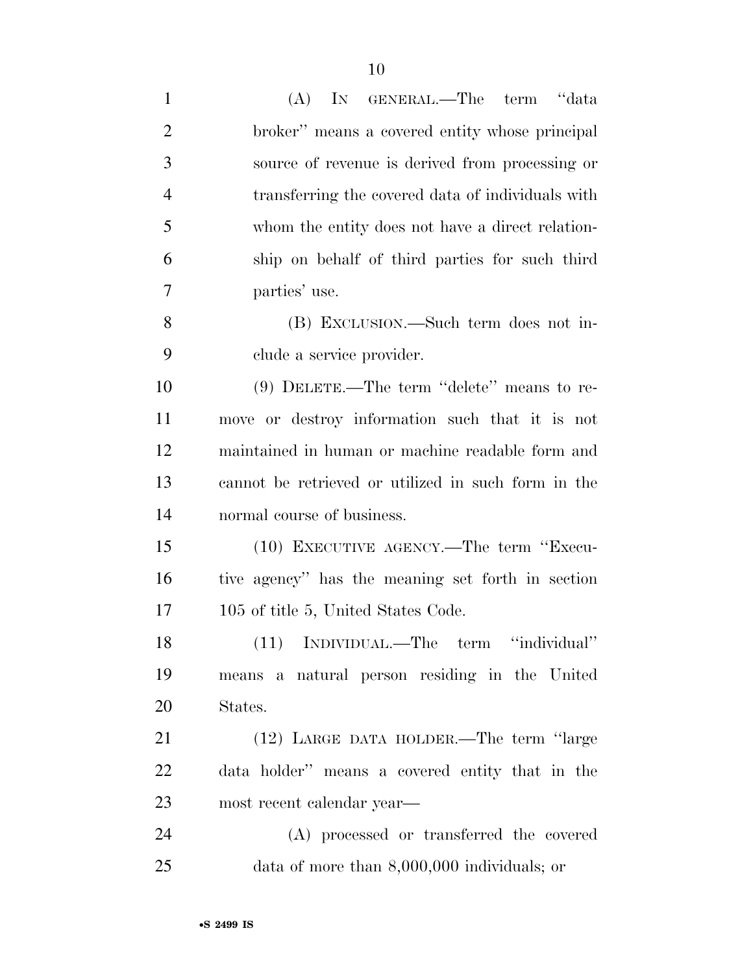| $\mathbf{1}$   | (A)<br>IN GENERAL.—The term "data                   |
|----------------|-----------------------------------------------------|
| $\overline{2}$ | broker" means a covered entity whose principal      |
| 3              | source of revenue is derived from processing or     |
| $\overline{4}$ | transferring the covered data of individuals with   |
| 5              | whom the entity does not have a direct relation-    |
| 6              | ship on behalf of third parties for such third      |
| 7              | parties' use.                                       |
| 8              | (B) EXCLUSION.—Such term does not in-               |
| 9              | clude a service provider.                           |
| 10             | $(9)$ DELETE.—The term "delete" means to re-        |
| 11             | move or destroy information such that it is not     |
| 12             | maintained in human or machine readable form and    |
| 13             | cannot be retrieved or utilized in such form in the |
| 14             | normal course of business.                          |
| 15             | (10) EXECUTIVE AGENCY.—The term "Execu-             |
| 16             | tive agency" has the meaning set forth in section   |
| 17             | 105 of title 5, United States Code.                 |
| 18             | (11) INDIVIDUAL.—The term "individual"              |
| 19             | means a natural person residing in the United       |
| 20             | States.                                             |
| 21             | (12) LARGE DATA HOLDER.—The term "large             |
| 22             | data holder" means a covered entity that in the     |
| 23             | most recent calendar year—                          |
| 24             | (A) processed or transferred the covered            |
| 25             | data of more than $8,000,000$ individuals; or       |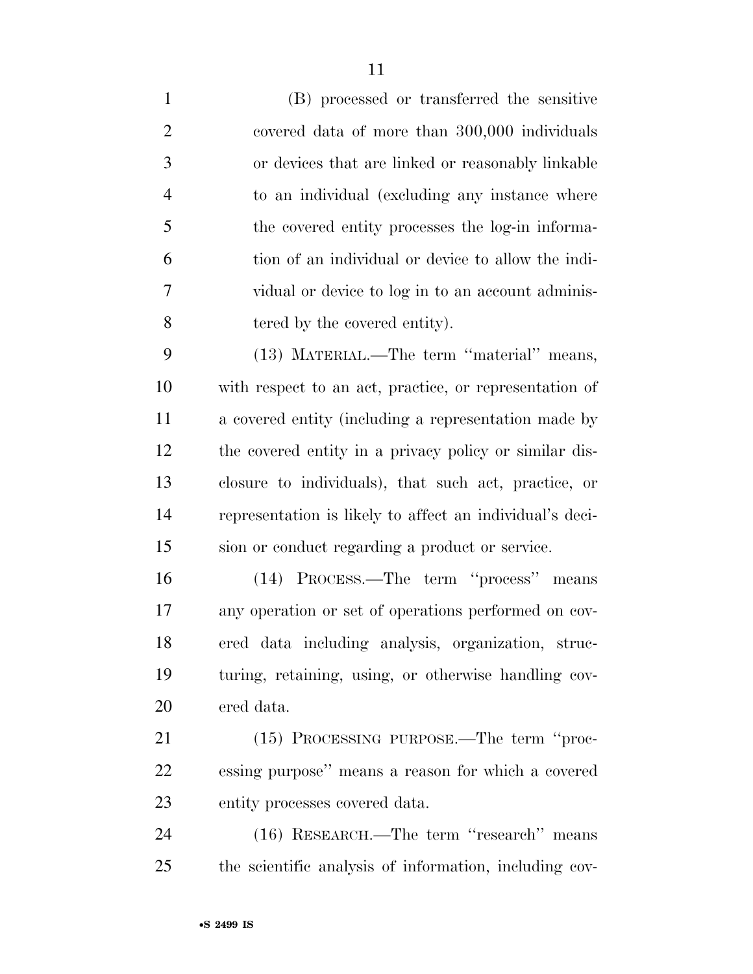(B) processed or transferred the sensitive covered data of more than 300,000 individuals or devices that are linked or reasonably linkable to an individual (excluding any instance where the covered entity processes the log-in informa- tion of an individual or device to allow the indi- vidual or device to log in to an account adminis-tered by the covered entity).

 (13) MATERIAL.—The term ''material'' means, with respect to an act, practice, or representation of a covered entity (including a representation made by the covered entity in a privacy policy or similar dis- closure to individuals), that such act, practice, or representation is likely to affect an individual's deci-sion or conduct regarding a product or service.

 (14) PROCESS.—The term ''process'' means any operation or set of operations performed on cov- ered data including analysis, organization, struc- turing, retaining, using, or otherwise handling cov-ered data.

21 (15) PROCESSING PURPOSE.—The term "proc- essing purpose'' means a reason for which a covered entity processes covered data.

 (16) RESEARCH.—The term ''research'' means the scientific analysis of information, including cov-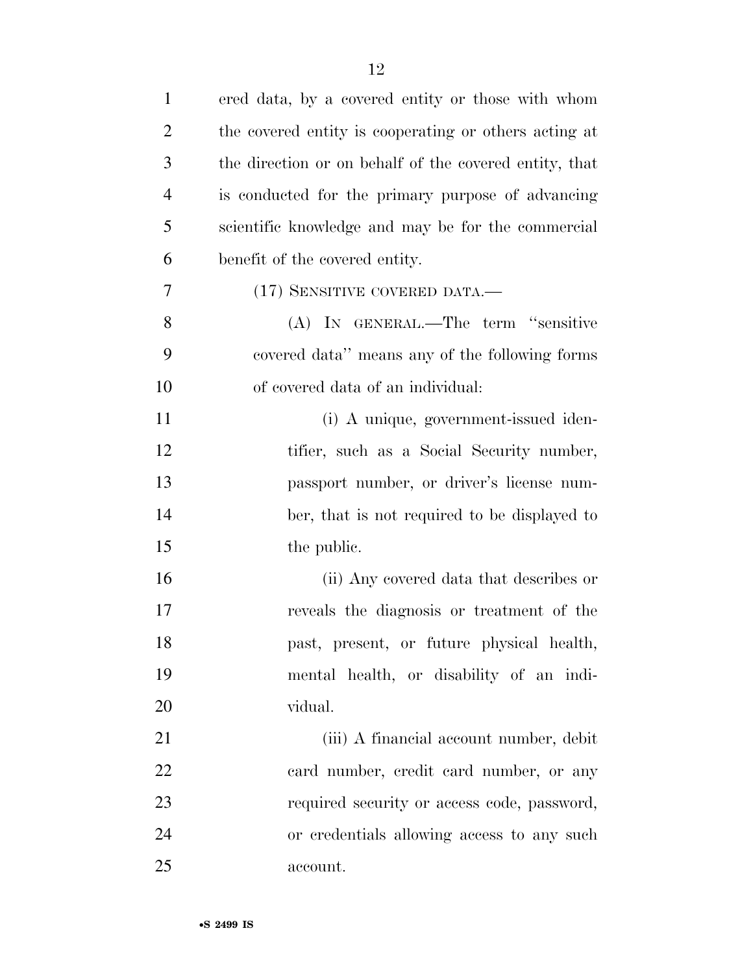| $\mathbf{1}$   | ered data, by a covered entity or those with whom      |
|----------------|--------------------------------------------------------|
| $\overline{2}$ | the covered entity is cooperating or others acting at  |
| 3              | the direction or on behalf of the covered entity, that |
| $\overline{4}$ | is conducted for the primary purpose of advancing      |
| 5              | scientific knowledge and may be for the commercial     |
| 6              | benefit of the covered entity.                         |
| 7              | (17) SENSITIVE COVERED DATA.—                          |
| 8              | (A) IN GENERAL.—The term "sensitive                    |
| 9              | covered data" means any of the following forms         |
| 10             | of covered data of an individual:                      |
| 11             | (i) A unique, government-issued iden-                  |
| 12             | tifier, such as a Social Security number,              |
| 13             | passport number, or driver's license num-              |
| 14             | ber, that is not required to be displayed to           |
| 15             | the public.                                            |
| 16             | (ii) Any covered data that describes or                |
| 17             | reveals the diagnosis or treatment of the              |
| 18             | past, present, or future physical health,              |
| 19             | mental health, or disability of an indi-               |
| 20             | vidual.                                                |
| 21             | (iii) A financial account number, debit                |
| 22             | eard number, credit card number, or any                |
| 23             | required security or access code, password,            |
| 24             | or credentials allowing access to any such             |
| 25             | account.                                               |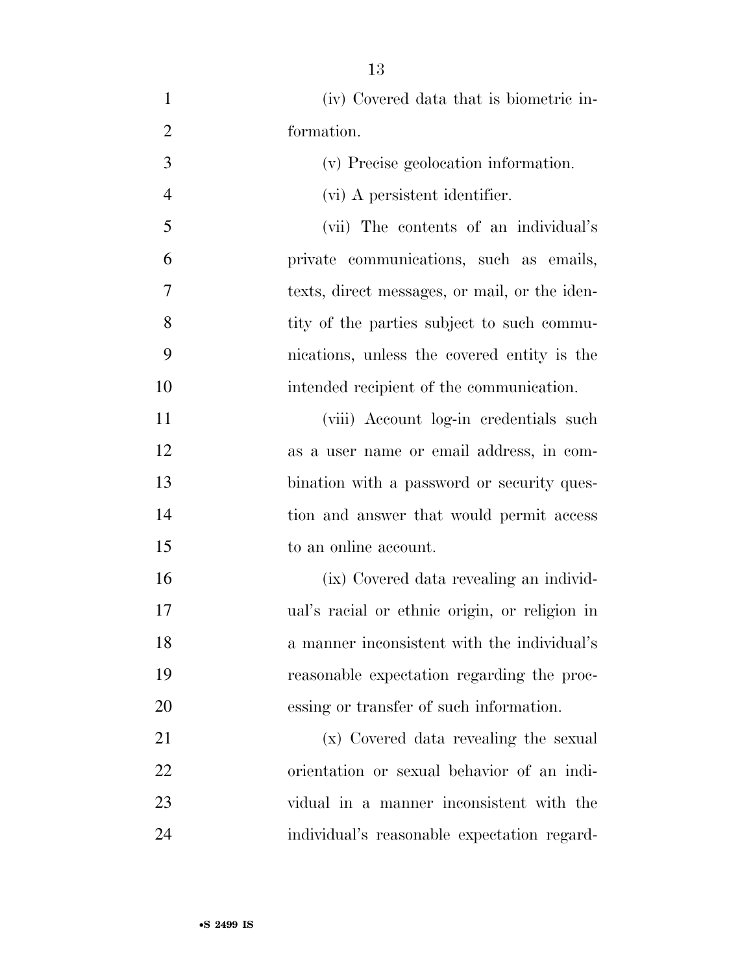| $\mathbf{1}$   | (iv) Covered data that is biometric in-       |
|----------------|-----------------------------------------------|
| $\overline{2}$ | formation.                                    |
| 3              | (v) Precise geolocation information.          |
| $\overline{4}$ | (vi) A persistent identifier.                 |
| 5              | (vii) The contents of an individual's         |
| 6              | private communications, such as emails,       |
| 7              | texts, direct messages, or mail, or the iden- |
| 8              | tity of the parties subject to such commu-    |
| 9              | nications, unless the covered entity is the   |
| 10             | intended recipient of the communication.      |
| 11             | (viii) Account log-in credentials such        |
| 12             | as a user name or email address, in com-      |
| 13             | bination with a password or security ques-    |
| 14             | tion and answer that would permit access      |
| 15             | to an online account.                         |
| 16             | (ix) Covered data revealing an individ-       |
| 17             | ual's racial or ethnic origin, or religion in |
| 18             | a manner inconsistent with the individual's   |
| 19             | reasonable expectation regarding the proc-    |
| 20             | essing or transfer of such information.       |
| 21             | (x) Covered data revealing the sexual         |
| 22             | orientation or sexual behavior of an indi-    |
| 23             | vidual in a manner inconsistent with the      |
| 24             | individual's reasonable expectation regard-   |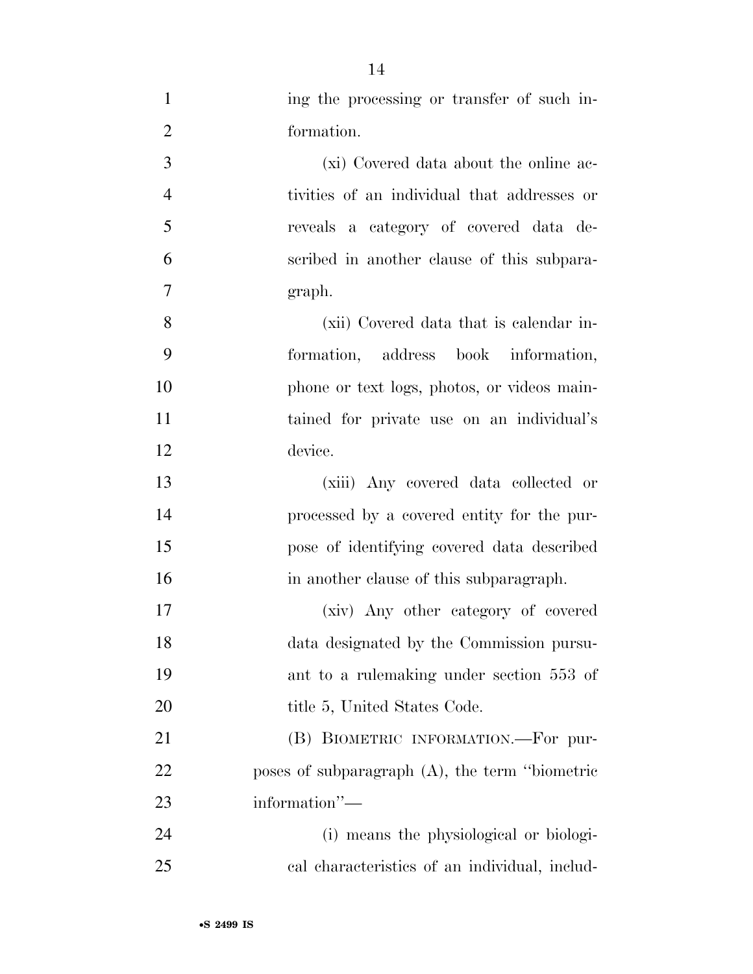| $\mathbf{1}$     | ing the processing or transfer of such in-        |
|------------------|---------------------------------------------------|
| $\overline{2}$   | formation.                                        |
| 3                | (xi) Covered data about the online ac-            |
| $\overline{4}$   | tivities of an individual that addresses or       |
| 5                | reveals a category of covered data de-            |
| 6                | scribed in another clause of this subpara-        |
| $\boldsymbol{7}$ | graph.                                            |
| 8                | (xii) Covered data that is calendar in-           |
| 9                | formation, address book information,              |
| 10               | phone or text logs, photos, or videos main-       |
| 11               | tained for private use on an individual's         |
| 12               | device.                                           |
| 13               | (xiii) Any covered data collected or              |
| 14               | processed by a covered entity for the pur-        |
| 15               | pose of identifying covered data described        |
| 16               | in another clause of this subparagraph.           |
| 17               | (xiv) Any other category of covered               |
| 18               | data designated by the Commission pursu-          |
| 19               | ant to a rulemaking under section 553 of          |
| 20               | title 5, United States Code.                      |
| 21               | (B) BIOMETRIC INFORMATION.-For pur-               |
| 22               | poses of subparagraph $(A)$ , the term "biometric |
| 23               | information"-                                     |
| 24               | (i) means the physiological or biologi-           |
| 25               | cal characteristics of an individual, includ-     |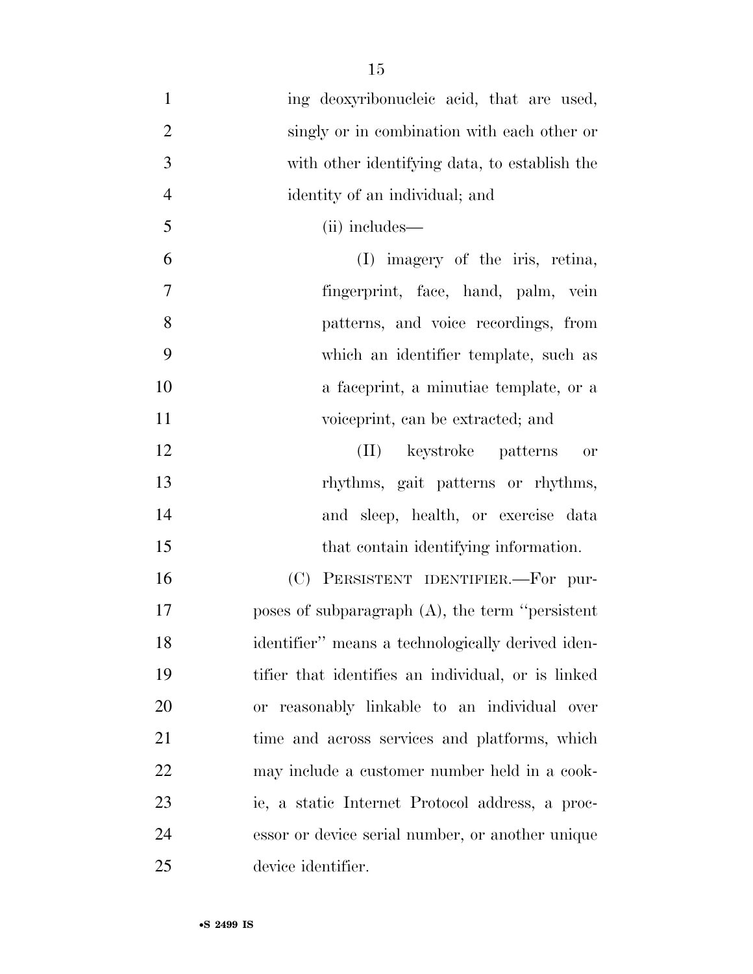| $\mathbf{1}$   | ing deoxyribonucleic acid, that are used,           |
|----------------|-----------------------------------------------------|
| $\overline{2}$ | singly or in combination with each other or         |
| 3              | with other identifying data, to establish the       |
| $\overline{4}$ | identity of an individual; and                      |
| 5              | (ii) includes—                                      |
| 6              | (I) imagery of the iris, retina,                    |
| $\overline{7}$ | fingerprint, face, hand, palm, vein                 |
| 8              | patterns, and voice recordings, from                |
| 9              | which an identifier template, such as               |
| 10             | a faceprint, a minutiae template, or a              |
| 11             | voiceprint, can be extracted; and                   |
| 12             | keystroke patterns<br>(II)<br>or                    |
| 13             | rhythms, gait patterns or rhythms,                  |
| 14             | and sleep, health, or exercise data                 |
| 15             | that contain identifying information.               |
| 16             | PERSISTENT IDENTIFIER.-For pur-<br>(C)              |
| 17             | poses of subparagraph $(A)$ , the term "persistent" |
| 18             | identifier" means a technologically derived iden-   |
| 19             | tifier that identifies an individual, or is linked  |
| 20             | or reasonably linkable to an individual over        |
| 21             | time and across services and platforms, which       |
| <u>22</u>      | may include a customer number held in a cook-       |
| 23             | ie, a static Internet Protocol address, a proc-     |
| 24             | essor or device serial number, or another unique    |
| 25             | device identifier.                                  |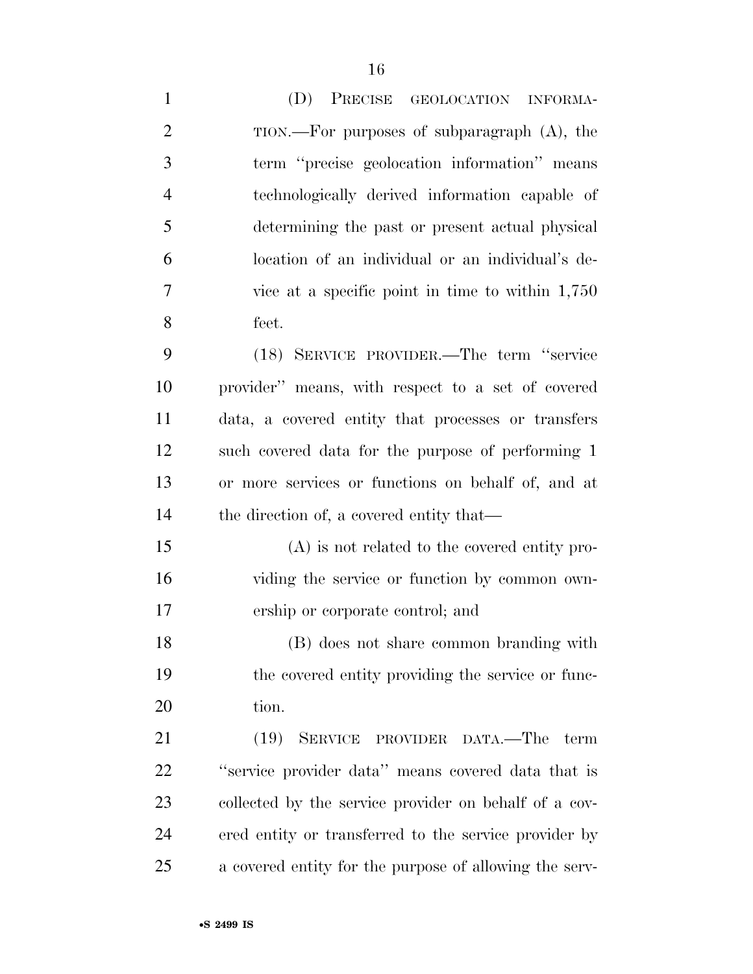| $\mathbf{1}$   | (D) PRECISE GEOLOCATION INFORMA-                   |
|----------------|----------------------------------------------------|
| $\overline{2}$ | $TION.$ For purposes of subparagraph $(A)$ , the   |
| 3              | term "precise geolocation information" means       |
| $\overline{4}$ | technologically derived information capable of     |
| 5              | determining the past or present actual physical    |
| 6              | location of an individual or an individual's de-   |
| 7              | vice at a specific point in time to within $1,750$ |
| 8              | feet.                                              |
| 9              | (18) SERVICE PROVIDER.—The term "service           |
| 10             | provider" means, with respect to a set of covered  |
| 11             | data, a covered entity that processes or transfers |
| 12             | such covered data for the purpose of performing 1  |
| 13             | or more services or functions on behalf of, and at |
| 14             | the direction of, a covered entity that—           |
| 15             | $(A)$ is not related to the covered entity pro-    |
| 16             | viding the service or function by common own-      |
| 17             | ership or corporate control; and                   |
| 18             | (B) does not share common branding with            |
| 19             | the covered entity providing the service or func-  |
| 20             | tion.                                              |
| 21             | (19)<br>SERVICE PROVIDER DATA.—The<br>term         |

 ''service provider data'' means covered data that is collected by the service provider on behalf of a cov- ered entity or transferred to the service provider by a covered entity for the purpose of allowing the serv-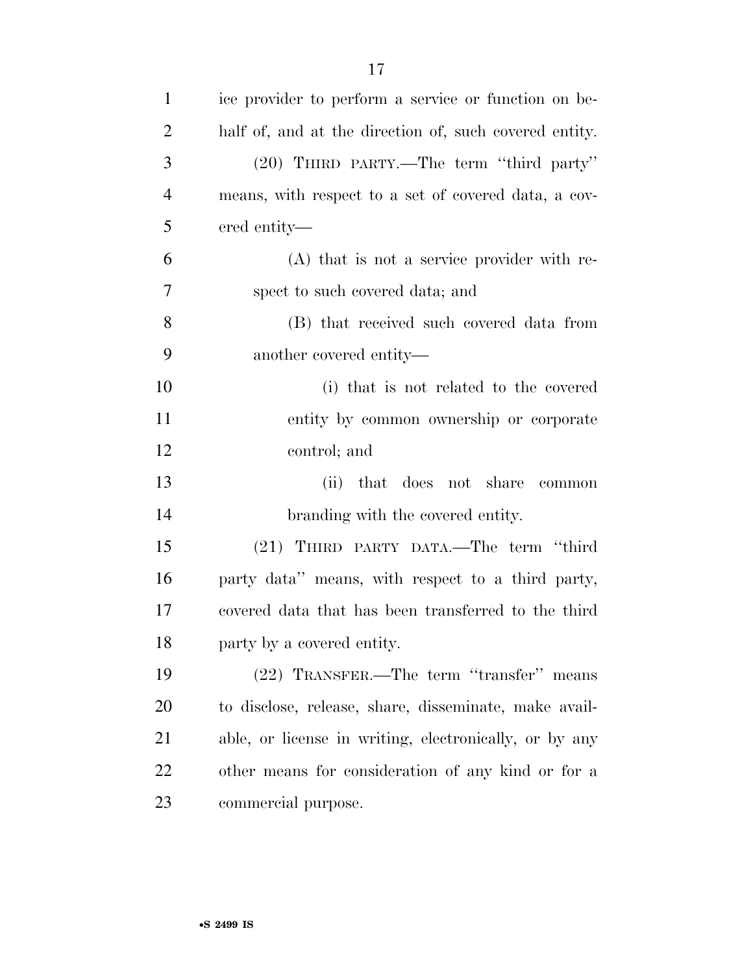| $\mathbf{1}$   | ice provider to perform a service or function on be-   |
|----------------|--------------------------------------------------------|
| $\overline{2}$ | half of, and at the direction of, such covered entity. |
| 3              | (20) THIRD PARTY.—The term "third party"               |
| $\overline{4}$ | means, with respect to a set of covered data, a cov-   |
| 5              | ered entity—                                           |
| 6              | (A) that is not a service provider with re-            |
| $\overline{7}$ | spect to such covered data; and                        |
| 8              | (B) that received such covered data from               |
| 9              | another covered entity—                                |
| 10             | (i) that is not related to the covered                 |
| 11             | entity by common ownership or corporate                |
| 12             | control; and                                           |
| 13             | (ii)<br>that does not share common                     |
| 14             | branding with the covered entity.                      |
| 15             | (21) THIRD PARTY DATA.—The term "third                 |
| 16             | party data" means, with respect to a third party,      |
| 17             | covered data that has been transferred to the third    |
| 18             | party by a covered entity.                             |
| 19             | (22) TRANSFER.—The term "transfer" means               |
| 20             | to disclose, release, share, disseminate, make avail-  |
| 21             | able, or license in writing, electronically, or by any |
| 22             | other means for consideration of any kind or for a     |
| 23             | commercial purpose.                                    |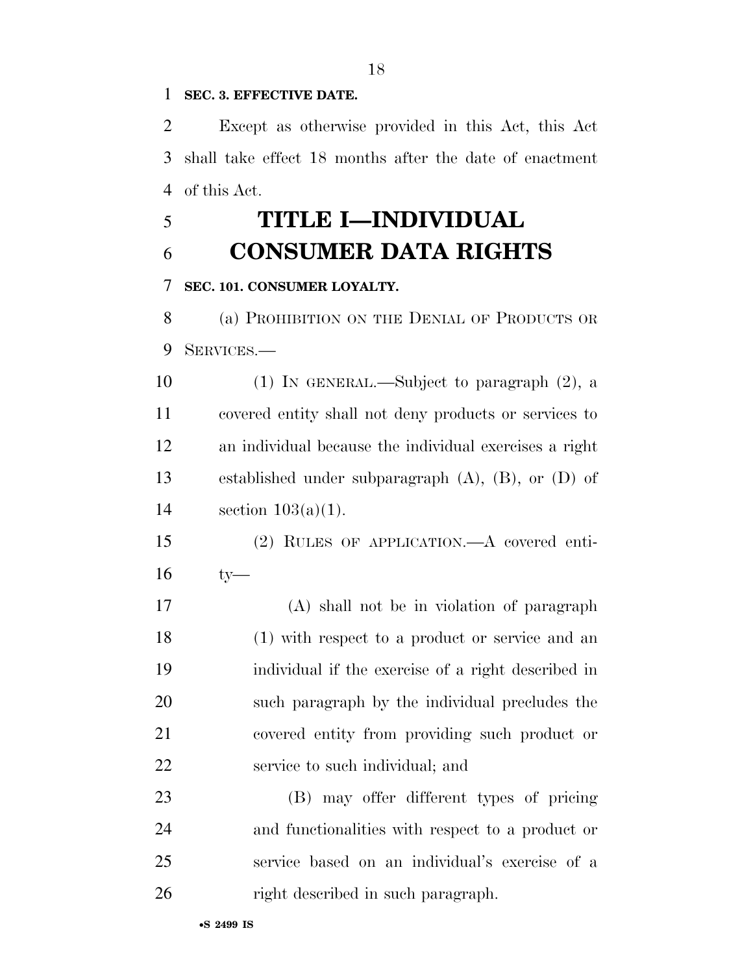#### **SEC. 3. EFFECTIVE DATE.**

 Except as otherwise provided in this Act, this Act shall take effect 18 months after the date of enactment of this Act.

 **TITLE I—INDIVIDUAL CONSUMER DATA RIGHTS** 

### **SEC. 101. CONSUMER LOYALTY.**

 (a) PROHIBITION ON THE DENIAL OF PRODUCTS OR SERVICES.—

 (1) IN GENERAL.—Subject to paragraph (2), a covered entity shall not deny products or services to an individual because the individual exercises a right established under subparagraph (A), (B), or (D) of section 103(a)(1).

 (2) RULES OF APPLICATION.—A covered enti-ty—

 (A) shall not be in violation of paragraph (1) with respect to a product or service and an individual if the exercise of a right described in such paragraph by the individual precludes the covered entity from providing such product or service to such individual; and

 (B) may offer different types of pricing and functionalities with respect to a product or service based on an individual's exercise of a right described in such paragraph.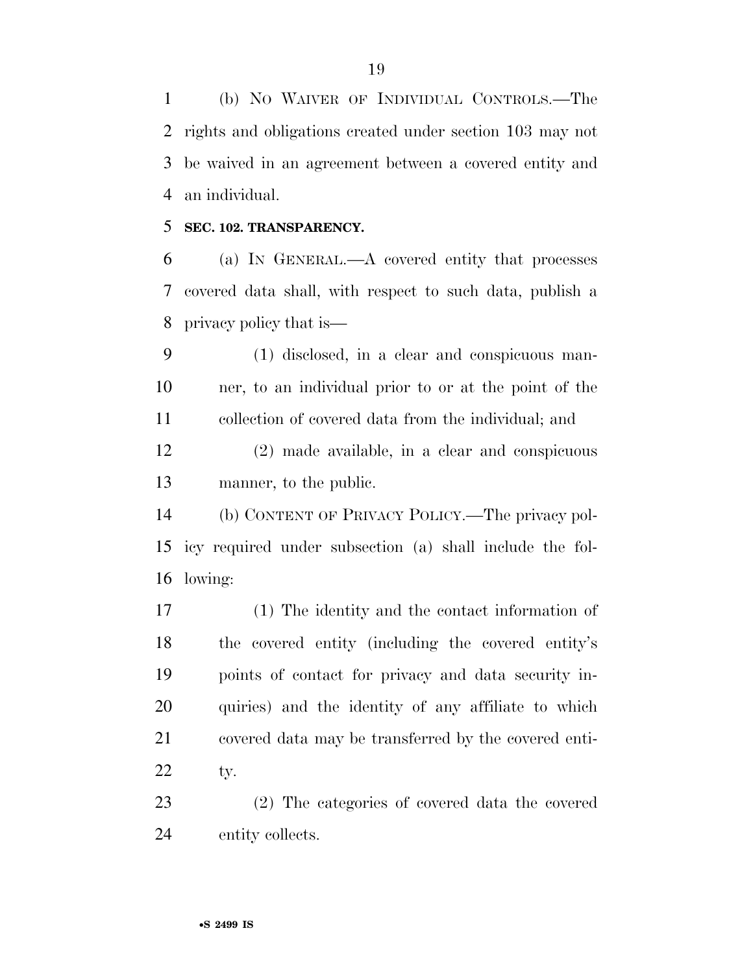(b) NO WAIVER OF INDIVIDUAL CONTROLS.—The rights and obligations created under section 103 may not be waived in an agreement between a covered entity and an individual.

#### **SEC. 102. TRANSPARENCY.**

 (a) IN GENERAL.—A covered entity that processes covered data shall, with respect to such data, publish a privacy policy that is—

 (1) disclosed, in a clear and conspicuous man- ner, to an individual prior to or at the point of the collection of covered data from the individual; and

 (2) made available, in a clear and conspicuous manner, to the public.

 (b) CONTENT OF PRIVACY POLICY.—The privacy pol- icy required under subsection (a) shall include the fol-lowing:

 (1) The identity and the contact information of the covered entity (including the covered entity's points of contact for privacy and data security in- quiries) and the identity of any affiliate to which covered data may be transferred by the covered enti-ty.

 (2) The categories of covered data the covered entity collects.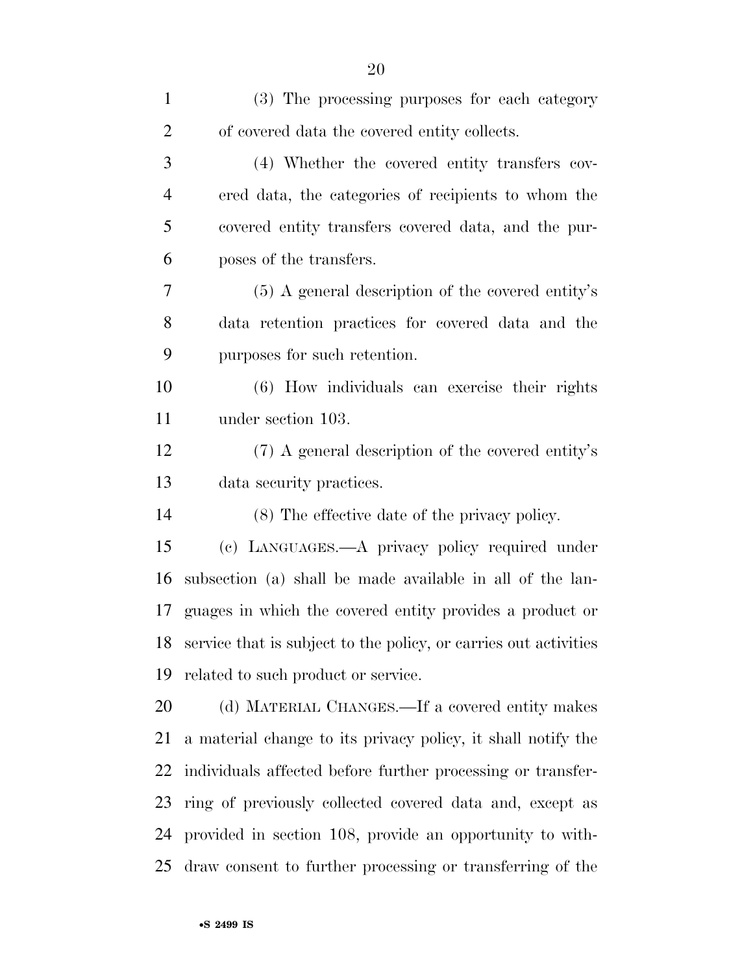| $\mathbf{1}$   | (3) The processing purposes for each category                       |
|----------------|---------------------------------------------------------------------|
| $\overline{2}$ | of covered data the covered entity collects.                        |
| 3              | (4) Whether the covered entity transfers cov-                       |
| $\overline{4}$ | ered data, the categories of recipients to whom the                 |
| 5              | covered entity transfers covered data, and the pur-                 |
| 6              | poses of the transfers.                                             |
| $\tau$         | $(5)$ A general description of the covered entity's                 |
| 8              | data retention practices for covered data and the                   |
| 9              | purposes for such retention.                                        |
| 10             | (6) How individuals can exercise their rights                       |
| 11             | under section 103.                                                  |
| 12             | (7) A general description of the covered entity's                   |
| 13             | data security practices.                                            |
|                |                                                                     |
| 14             | (8) The effective date of the privacy policy.                       |
| 15             | (c) LANGUAGES.—A privacy policy required under                      |
| 16             | subsection (a) shall be made available in all of the lan-           |
| 17             | guages in which the covered entity provides a product or            |
|                | 18 service that is subject to the policy, or carries out activities |
| 19             | related to such product or service.                                 |
| 20             | (d) MATERIAL CHANGES.—If a covered entity makes                     |
| 21             | a material change to its privacy policy, it shall notify the        |
| 22             | individuals affected before further processing or transfer-         |
| 23             | ring of previously collected covered data and, except as            |
| 24             | provided in section 108, provide an opportunity to with-            |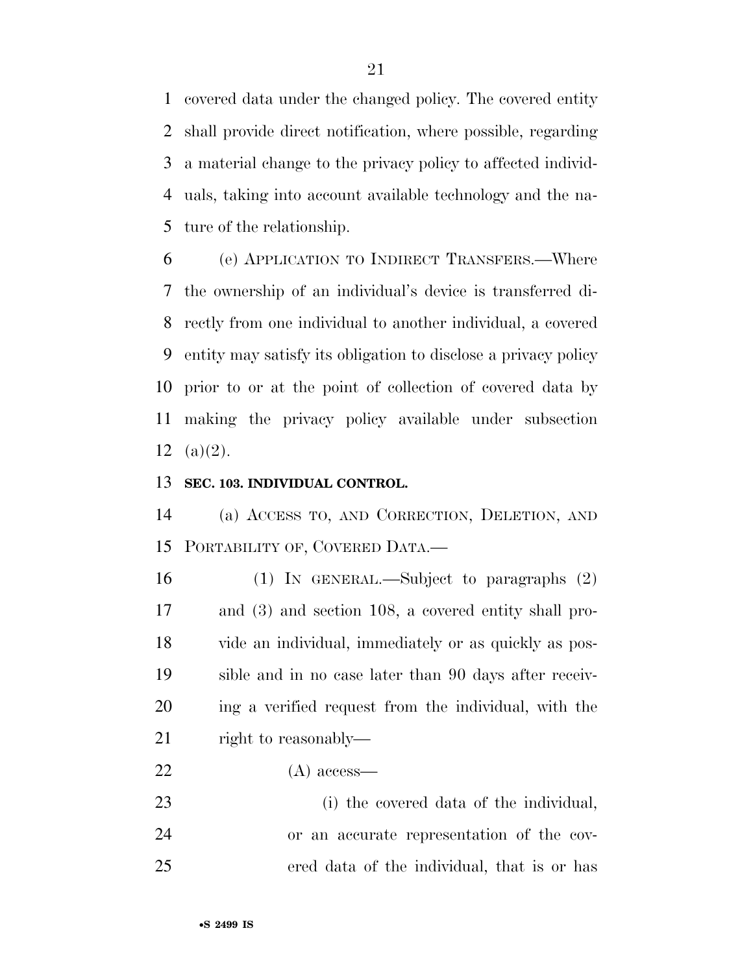covered data under the changed policy. The covered entity shall provide direct notification, where possible, regarding a material change to the privacy policy to affected individ- uals, taking into account available technology and the na-ture of the relationship.

 (e) APPLICATION TO INDIRECT TRANSFERS.—Where the ownership of an individual's device is transferred di- rectly from one individual to another individual, a covered entity may satisfy its obligation to disclose a privacy policy prior to or at the point of collection of covered data by making the privacy policy available under subsection (a)(2).

### **SEC. 103. INDIVIDUAL CONTROL.**

 (a) ACCESS TO, AND CORRECTION, DELETION, AND PORTABILITY OF, COVERED DATA.—

 (1) IN GENERAL.—Subject to paragraphs (2) and (3) and section 108, a covered entity shall pro- vide an individual, immediately or as quickly as pos- sible and in no case later than 90 days after receiv- ing a verified request from the individual, with the 21 right to reasonably—

(A) access—

 (i) the covered data of the individual, or an accurate representation of the cov-ered data of the individual, that is or has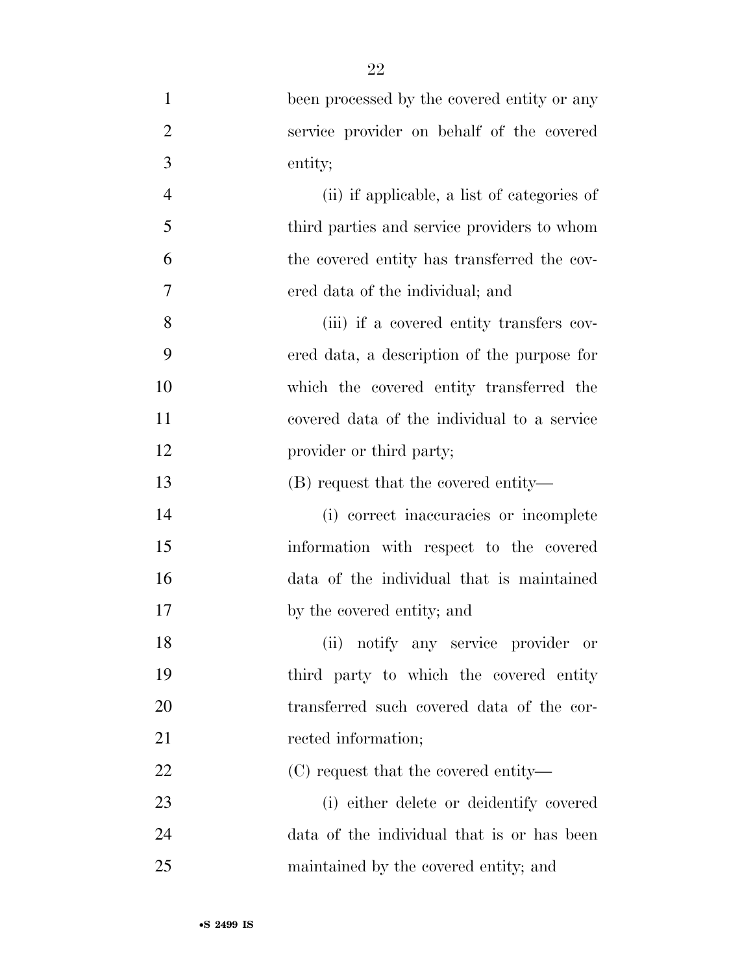| $\mathbf{1}$   | been processed by the covered entity or any |
|----------------|---------------------------------------------|
| $\overline{2}$ | service provider on behalf of the covered   |
| 3              | entity;                                     |
| $\overline{4}$ | (ii) if applicable, a list of categories of |
| 5              | third parties and service providers to whom |
| 6              | the covered entity has transferred the cov- |
| 7              | ered data of the individual; and            |
| 8              | (iii) if a covered entity transfers cov-    |
| 9              | ered data, a description of the purpose for |
| 10             | which the covered entity transferred the    |
| 11             | covered data of the individual to a service |
| 12             | provider or third party;                    |
| 13             | (B) request that the covered entity—        |
| 14             | (i) correct inaccuracies or incomplete      |
| 15             | information with respect to the covered     |
| 16             | data of the individual that is maintained   |
| 17             | by the covered entity; and                  |
| 18             | (ii) notify any service provider or         |
| 19             | third party to which the covered entity     |
| 20             | transferred such covered data of the cor-   |
| 21             | rected information;                         |
| 22             | (C) request that the covered entity—        |
| 23             | (i) either delete or deidentify covered     |
| 24             | data of the individual that is or has been  |
| 25             | maintained by the covered entity; and       |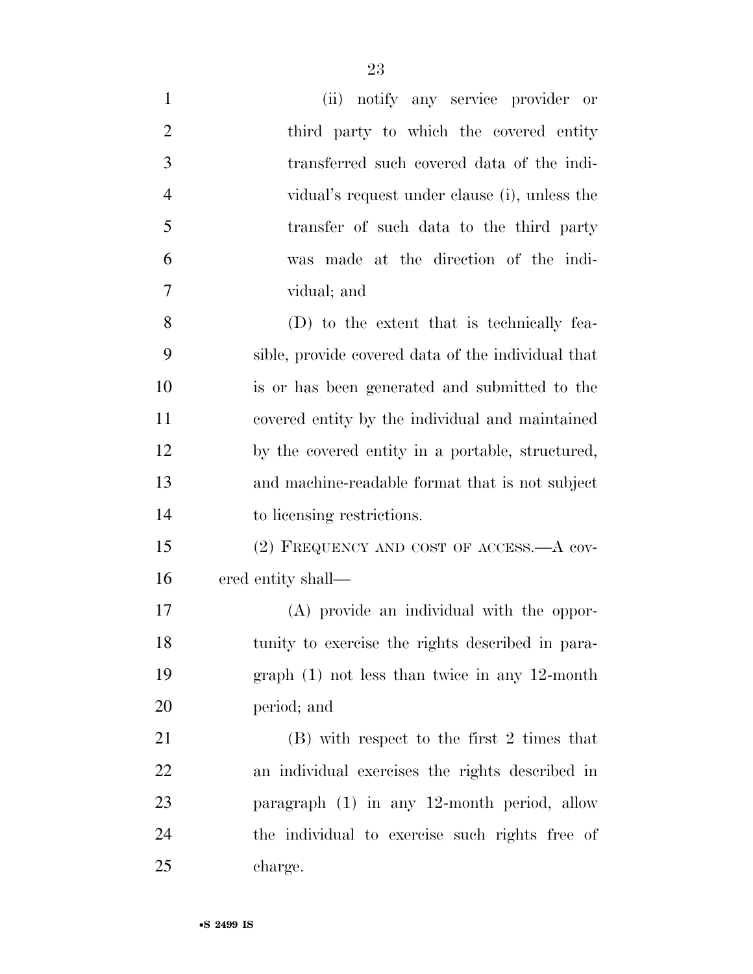| $\mathbf{1}$   | (ii) notify any service provider or                |
|----------------|----------------------------------------------------|
| $\overline{2}$ | third party to which the covered entity            |
| 3              | transferred such covered data of the indi-         |
| $\overline{4}$ | vidual's request under clause (i), unless the      |
| 5              | transfer of such data to the third party           |
| 6              | was made at the direction of the indi-             |
| 7              | vidual; and                                        |
| 8              | (D) to the extent that is technically fea-         |
| 9              | sible, provide covered data of the individual that |
| 10             | is or has been generated and submitted to the      |
| 11             | covered entity by the individual and maintained    |
| 12             | by the covered entity in a portable, structured,   |
| 13             | and machine-readable format that is not subject    |
| 14             | to licensing restrictions.                         |
| 15             | $(2)$ FREQUENCY AND COST OF ACCESS.—A cov-         |
| 16             | ered entity shall—                                 |
| 17             | (A) provide an individual with the oppor-          |
| 18             | tunity to exercise the rights described in para-   |
| 19             | graph $(1)$ not less than twice in any 12-month    |
| 20             | period; and                                        |
| 21             | (B) with respect to the first 2 times that         |
| 22             | an individual exercises the rights described in    |
| 23             | paragraph (1) in any 12-month period, allow        |
| 24             | the individual to exercise such rights free of     |
| 25             | charge.                                            |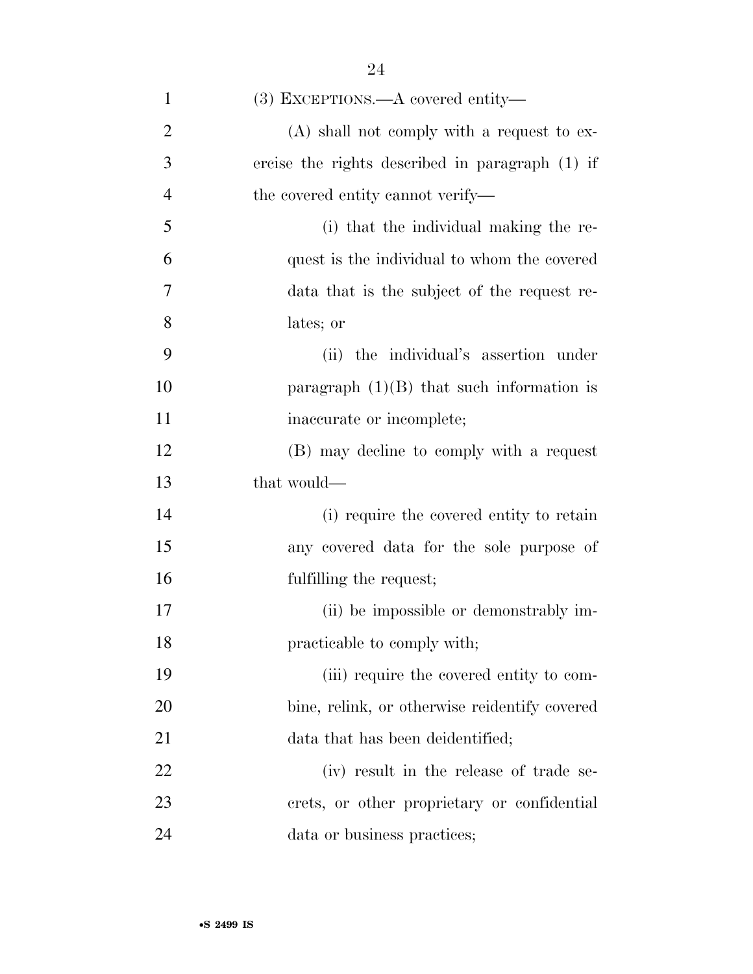| $\mathbf{1}$   | $(3)$ EXCEPTIONS.—A covered entity—             |
|----------------|-------------------------------------------------|
| $\overline{2}$ | $(A)$ shall not comply with a request to ex-    |
| 3              | ercise the rights described in paragraph (1) if |
| $\overline{4}$ | the covered entity cannot verify—               |
| $\mathfrak{S}$ | (i) that the individual making the re-          |
| 6              | quest is the individual to whom the covered     |
| 7              | data that is the subject of the request re-     |
| 8              | lates; or                                       |
| 9              | (ii) the individual's assertion under           |
| 10             | paragraph $(1)(B)$ that such information is     |
| 11             | inaccurate or incomplete;                       |
| 12             | (B) may decline to comply with a request        |
| 13             | that would—                                     |
| 14             | (i) require the covered entity to retain        |
| 15             | any covered data for the sole purpose of        |
| 16             | fulfilling the request;                         |
| 17             | (ii) be impossible or demonstrably im-          |
| 18             | practicable to comply with;                     |
| 19             | (iii) require the covered entity to com-        |
| 20             | bine, relink, or otherwise reidentify covered   |
| 21             | data that has been deidentified;                |
| 22             | (iv) result in the release of trade se-         |
| 23             | crets, or other proprietary or confidential     |
| 24             | data or business practices;                     |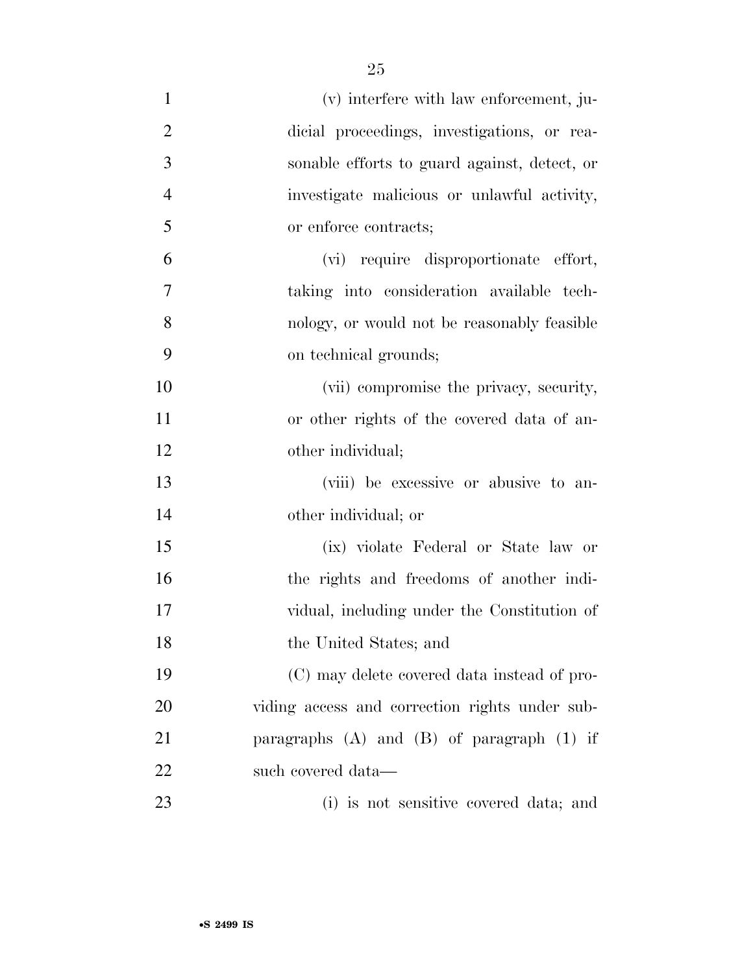| $\mathbf{1}$   | (v) interfere with law enforcement, ju-          |
|----------------|--------------------------------------------------|
| $\overline{2}$ | dicial proceedings, investigations, or rea-      |
| 3              | sonable efforts to guard against, detect, or     |
| $\overline{4}$ | investigate malicious or unlawful activity,      |
| 5              | or enforce contracts;                            |
| 6              | (vi) require disproportionate effort,            |
| $\overline{7}$ | taking into consideration available tech-        |
| 8              | nology, or would not be reasonably feasible      |
| 9              | on technical grounds;                            |
| 10             | (vii) compromise the privacy, security,          |
| 11             | or other rights of the covered data of an-       |
| 12             | other individual;                                |
| 13             | (viii) be excessive or abusive to an-            |
| 14             | other individual; or                             |
| 15             | (ix) violate Federal or State law or             |
| 16             | the rights and freedoms of another indi-         |
| 17             | vidual, including under the Constitution of      |
| 18             | the United States; and                           |
| 19             | (C) may delete covered data instead of pro-      |
| 20             | viding access and correction rights under sub-   |
| 21             | paragraphs $(A)$ and $(B)$ of paragraph $(1)$ if |
| 22             | such covered data—                               |
| 23             | (i) is not sensitive covered data; and           |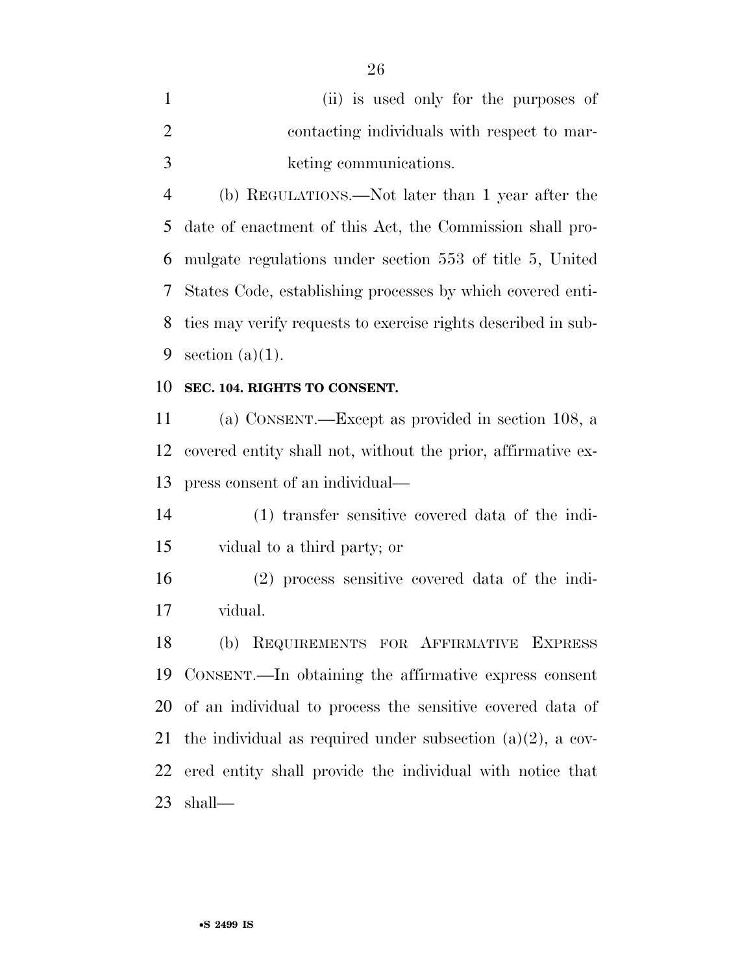| (ii) is used only for the purposes of       |
|---------------------------------------------|
| contacting individuals with respect to mar- |
| keting communications.                      |

 (b) REGULATIONS.—Not later than 1 year after the date of enactment of this Act, the Commission shall pro- mulgate regulations under section 553 of title 5, United States Code, establishing processes by which covered enti- ties may verify requests to exercise rights described in sub-9 section  $(a)(1)$ .

#### **SEC. 104. RIGHTS TO CONSENT.**

 (a) CONSENT.—Except as provided in section 108, a covered entity shall not, without the prior, affirmative ex-press consent of an individual—

 (1) transfer sensitive covered data of the indi-vidual to a third party; or

 (2) process sensitive covered data of the indi-vidual.

 (b) REQUIREMENTS FOR AFFIRMATIVE EXPRESS CONSENT.—In obtaining the affirmative express consent of an individual to process the sensitive covered data of 21 the individual as required under subsection  $(a)(2)$ , a cov- ered entity shall provide the individual with notice that shall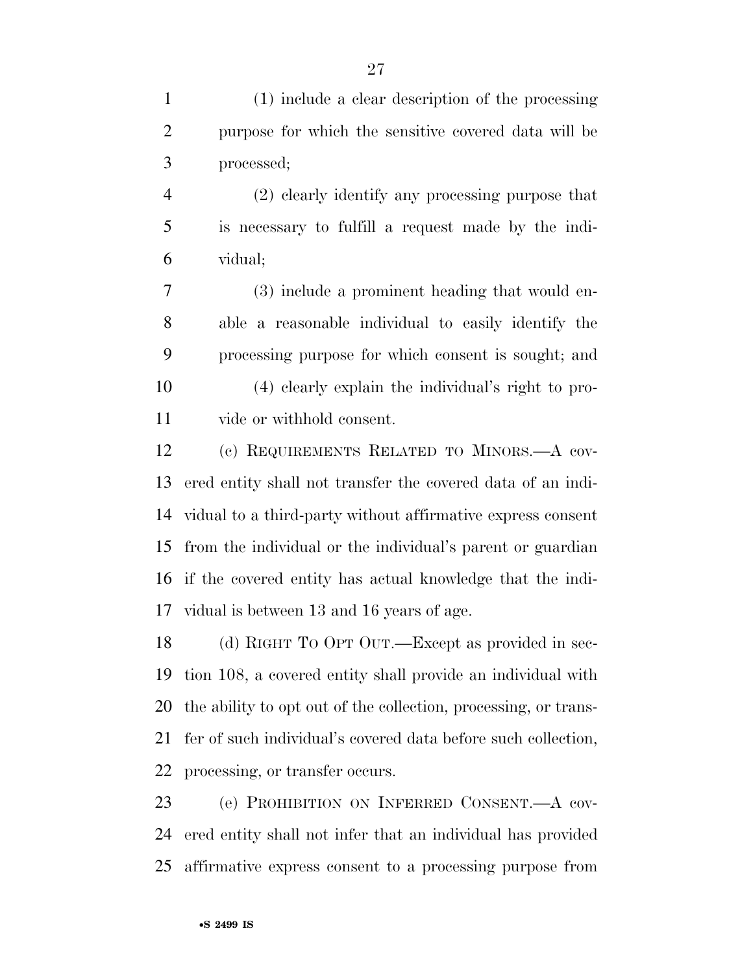(1) include a clear description of the processing purpose for which the sensitive covered data will be processed;

 (2) clearly identify any processing purpose that is necessary to fulfill a request made by the indi-vidual;

 (3) include a prominent heading that would en- able a reasonable individual to easily identify the processing purpose for which consent is sought; and (4) clearly explain the individual's right to pro-

vide or withhold consent.

 (c) REQUIREMENTS RELATED TO MINORS.—A cov- ered entity shall not transfer the covered data of an indi- vidual to a third-party without affirmative express consent from the individual or the individual's parent or guardian if the covered entity has actual knowledge that the indi-vidual is between 13 and 16 years of age.

 (d) RIGHT TO OPT OUT.—Except as provided in sec- tion 108, a covered entity shall provide an individual with the ability to opt out of the collection, processing, or trans- fer of such individual's covered data before such collection, processing, or transfer occurs.

 (e) PROHIBITION ON INFERRED CONSENT.—A cov- ered entity shall not infer that an individual has provided affirmative express consent to a processing purpose from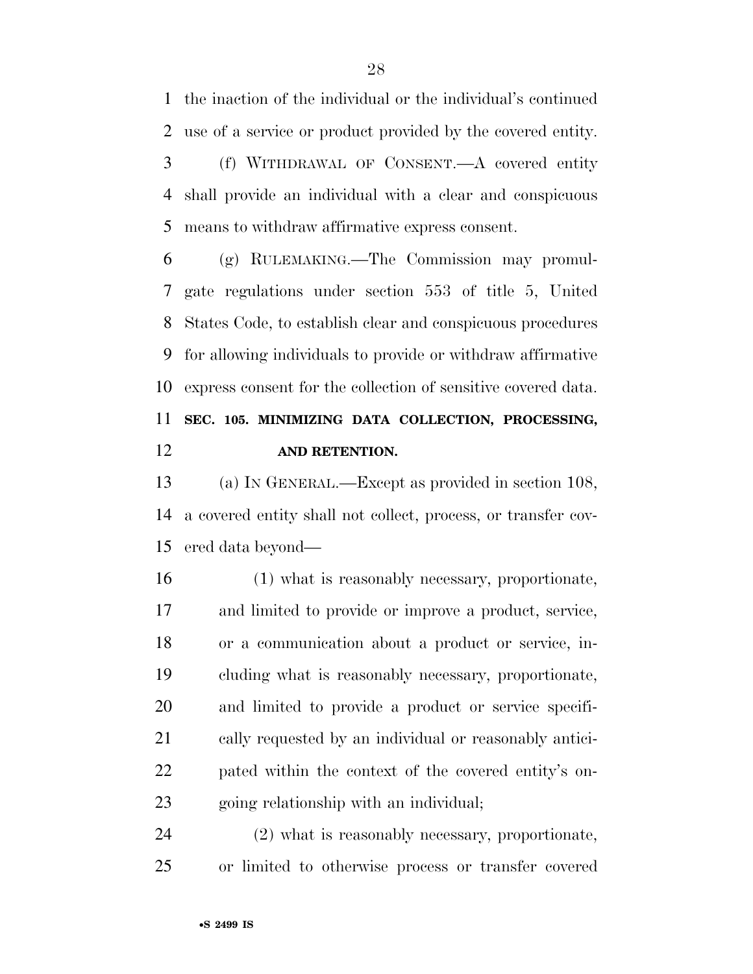the inaction of the individual or the individual's continued use of a service or product provided by the covered entity.

 (f) WITHDRAWAL OF CONSENT.—A covered entity shall provide an individual with a clear and conspicuous means to withdraw affirmative express consent.

 (g) RULEMAKING.—The Commission may promul- gate regulations under section 553 of title 5, United States Code, to establish clear and conspicuous procedures for allowing individuals to provide or withdraw affirmative express consent for the collection of sensitive covered data. **SEC. 105. MINIMIZING DATA COLLECTION, PROCESSING, AND RETENTION.** 

 (a) IN GENERAL.—Except as provided in section 108, a covered entity shall not collect, process, or transfer cov-ered data beyond—

 (1) what is reasonably necessary, proportionate, and limited to provide or improve a product, service, or a communication about a product or service, in- cluding what is reasonably necessary, proportionate, and limited to provide a product or service specifi- cally requested by an individual or reasonably antici- pated within the context of the covered entity's on-going relationship with an individual;

 (2) what is reasonably necessary, proportionate, or limited to otherwise process or transfer covered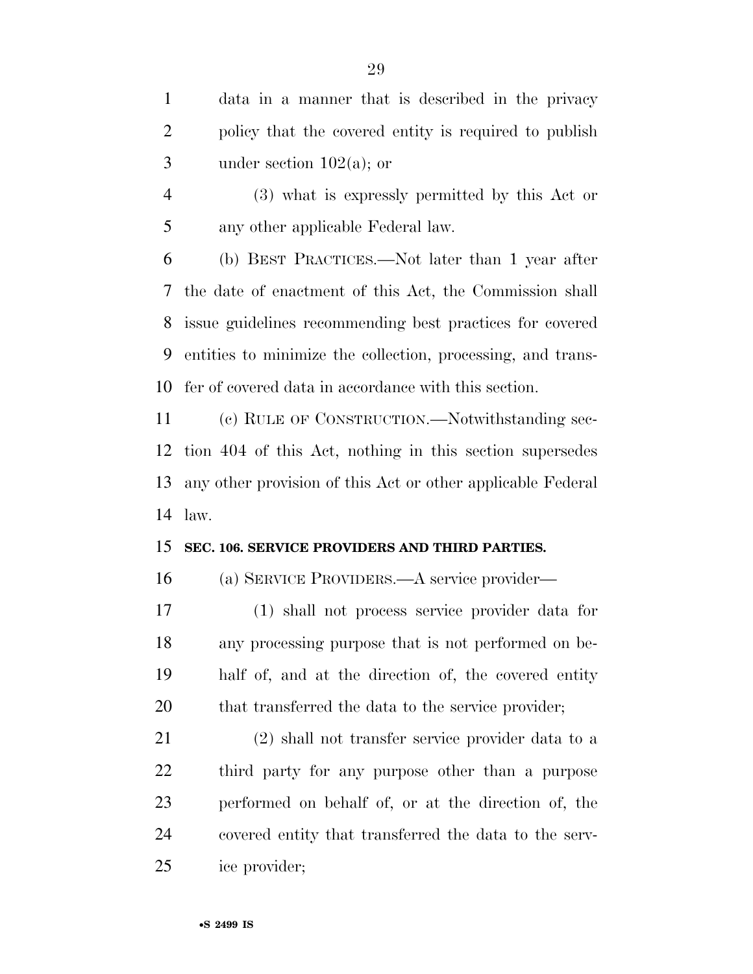data in a manner that is described in the privacy policy that the covered entity is required to publish under section 102(a); or

 (3) what is expressly permitted by this Act or any other applicable Federal law.

 (b) BEST PRACTICES.—Not later than 1 year after the date of enactment of this Act, the Commission shall issue guidelines recommending best practices for covered entities to minimize the collection, processing, and trans-fer of covered data in accordance with this section.

 (c) RULE OF CONSTRUCTION.—Notwithstanding sec- tion 404 of this Act, nothing in this section supersedes any other provision of this Act or other applicable Federal law.

### **SEC. 106. SERVICE PROVIDERS AND THIRD PARTIES.**

(a) SERVICE PROVIDERS.—A service provider—

 (1) shall not process service provider data for any processing purpose that is not performed on be- half of, and at the direction of, the covered entity that transferred the data to the service provider;

 (2) shall not transfer service provider data to a third party for any purpose other than a purpose performed on behalf of, or at the direction of, the covered entity that transferred the data to the serv-ice provider;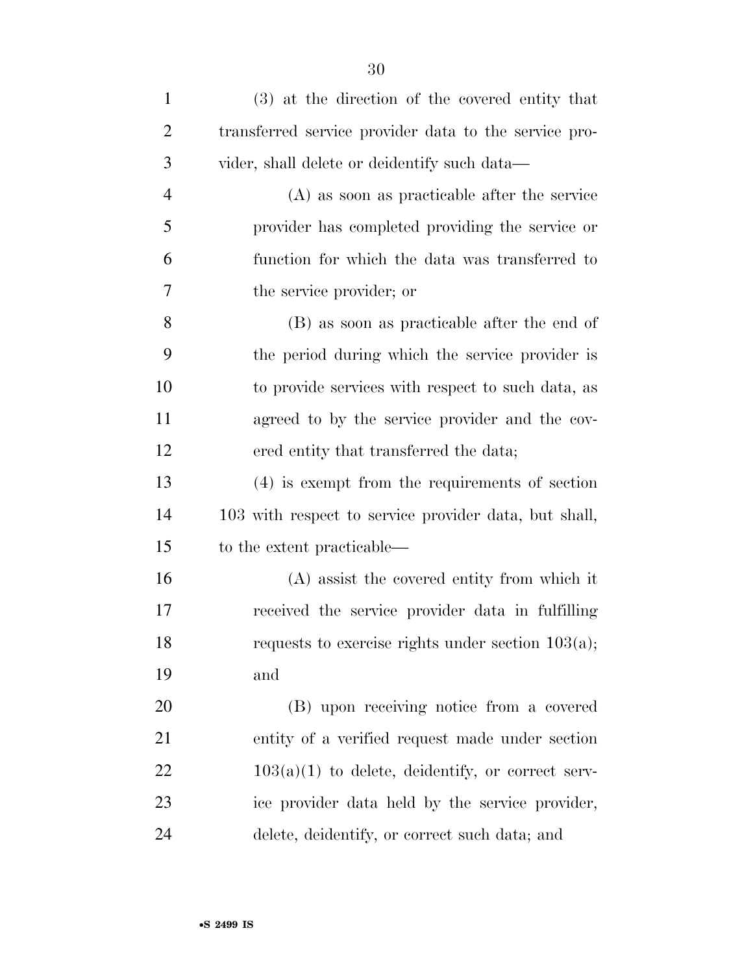| $\mathbf{1}$   | (3) at the direction of the covered entity that       |
|----------------|-------------------------------------------------------|
| $\overline{2}$ | transferred service provider data to the service pro- |
| 3              | vider, shall delete or deidentify such data—          |
| $\overline{4}$ | (A) as soon as practicable after the service          |
| 5              | provider has completed providing the service or       |
| 6              | function for which the data was transferred to        |
| 7              | the service provider; or                              |
| 8              | (B) as soon as practicable after the end of           |
| 9              | the period during which the service provider is       |
| 10             | to provide services with respect to such data, as     |
| 11             | agreed to by the service provider and the cov-        |
| 12             | ered entity that transferred the data;                |
| 13             | $(4)$ is exempt from the requirements of section      |
| 14             | 103 with respect to service provider data, but shall, |
| 15             | to the extent practicable—                            |
| 16             | (A) assist the covered entity from which it           |
| 17             | received the service provider data in fulfilling      |
| 18             | requests to exercise rights under section $103(a)$ ;  |
| 19             | and                                                   |
| 20             | (B) upon receiving notice from a covered              |
| 21             | entity of a verified request made under section       |
| 22             | $103(a)(1)$ to delete, deidentify, or correct serv-   |
| 23             | ice provider data held by the service provider,       |
| 24             | delete, deidentify, or correct such data; and         |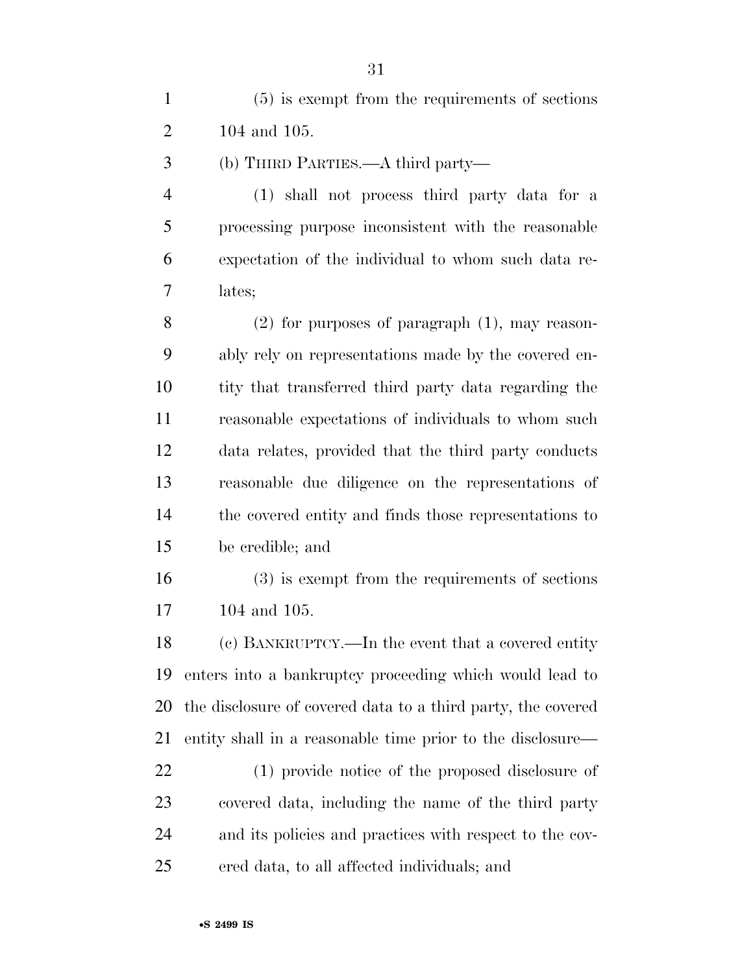(5) is exempt from the requirements of sections 104 and 105.

(b) THIRD PARTIES.—A third party—

 (1) shall not process third party data for a processing purpose inconsistent with the reasonable expectation of the individual to whom such data re-lates;

 (2) for purposes of paragraph (1), may reason- ably rely on representations made by the covered en- tity that transferred third party data regarding the reasonable expectations of individuals to whom such data relates, provided that the third party conducts reasonable due diligence on the representations of the covered entity and finds those representations to be credible; and

 (3) is exempt from the requirements of sections 104 and 105.

 (c) BANKRUPTCY.—In the event that a covered entity enters into a bankruptcy proceeding which would lead to the disclosure of covered data to a third party, the covered entity shall in a reasonable time prior to the disclosure—

 (1) provide notice of the proposed disclosure of covered data, including the name of the third party and its policies and practices with respect to the cov-ered data, to all affected individuals; and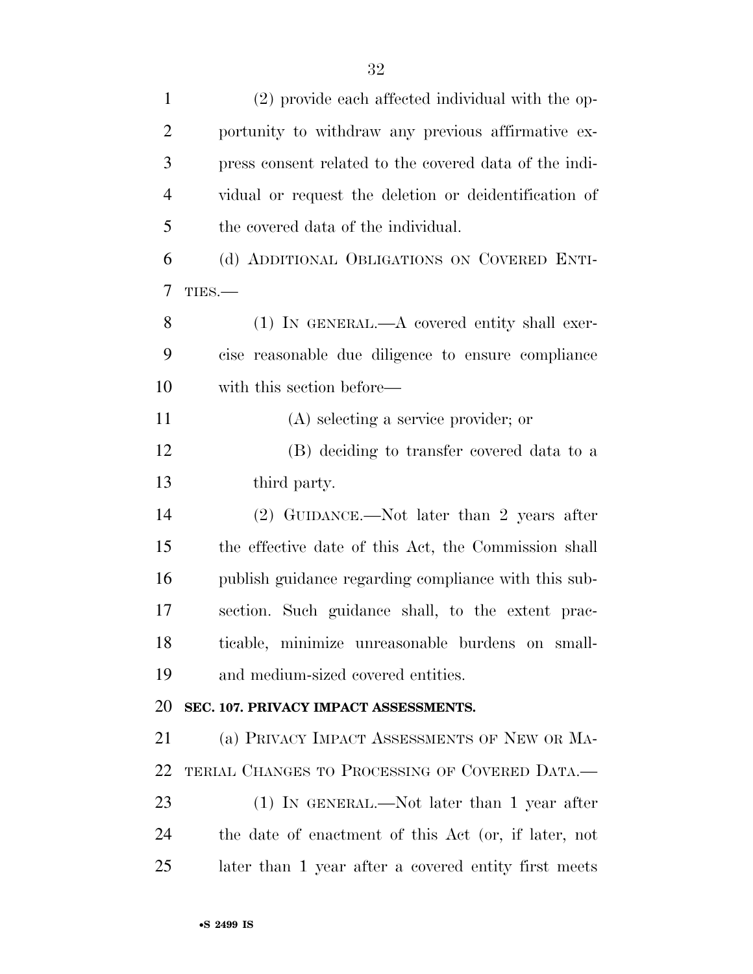| $\mathbf{1}$   | (2) provide each affected individual with the op-      |
|----------------|--------------------------------------------------------|
| $\overline{2}$ | portunity to withdraw any previous affirmative ex-     |
| 3              | press consent related to the covered data of the indi- |
| $\overline{4}$ | vidual or request the deletion or deidentification of  |
| 5              | the covered data of the individual.                    |
| 6              | (d) ADDITIONAL OBLIGATIONS ON COVERED ENTI-            |
| $\overline{7}$ | TIES.                                                  |
| 8              | $(1)$ IN GENERAL.—A covered entity shall exer-         |
| 9              | cise reasonable due diligence to ensure compliance     |
| 10             | with this section before—                              |
| 11             | (A) selecting a service provider; or                   |
| 12             | (B) deciding to transfer covered data to a             |
| 13             | third party.                                           |
| 14             | (2) GUIDANCE.—Not later than 2 years after             |
| 15             | the effective date of this Act, the Commission shall   |
| 16             | publish guidance regarding compliance with this sub-   |
| 17             | section. Such guidance shall, to the extent prac-      |
| 18             | ticable, minimize unreasonable burdens on small-       |
| 19             | and medium-sized covered entities.                     |
| 20             | SEC. 107. PRIVACY IMPACT ASSESSMENTS.                  |
| 21             | (a) PRIVACY IMPACT ASSESSMENTS OF NEW OR MA-           |
| 22             | TERIAL CHANGES TO PROCESSING OF COVERED DATA.          |
| 23             | $(1)$ In GENERAL.—Not later than 1 year after          |
| 24             | the date of enactment of this Act (or, if later, not   |
| 25             | later than 1 year after a covered entity first meets   |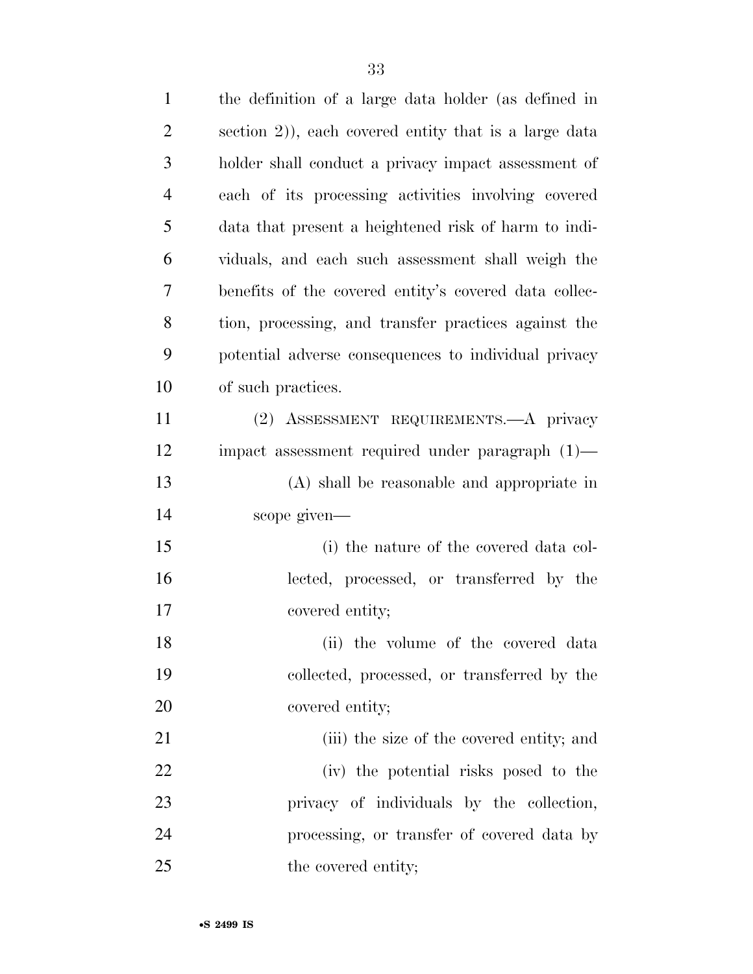| $\mathbf{1}$   | the definition of a large data holder (as defined in  |
|----------------|-------------------------------------------------------|
| $\overline{2}$ | section 2), each covered entity that is a large data  |
| 3              | holder shall conduct a privacy impact assessment of   |
| $\overline{4}$ | each of its processing activities involving covered   |
| 5              | data that present a heightened risk of harm to indi-  |
| 6              | viduals, and each such assessment shall weigh the     |
| 7              | benefits of the covered entity's covered data collec- |
| 8              | tion, processing, and transfer practices against the  |
| 9              | potential adverse consequences to individual privacy  |
| 10             | of such practices.                                    |
| 11             | (2) ASSESSMENT REQUIREMENTS.—A privacy                |
| 12             | impact assessment required under paragraph $(1)$ —    |
| 13             | (A) shall be reasonable and appropriate in            |
| 14             | scope given—                                          |
| 15             | (i) the nature of the covered data col-               |
| 16             | lected, processed, or transferred by the              |
| 17             | covered entity;                                       |
| 18             | (ii) the volume of the covered data                   |
| 19             | collected, processed, or transferred by the           |
| 20             | covered entity;                                       |
| 21             | (iii) the size of the covered entity; and             |
| 22             | (iv) the potential risks posed to the                 |
| 23             | privacy of individuals by the collection,             |
| 24             | processing, or transfer of covered data by            |
| 25             | the covered entity;                                   |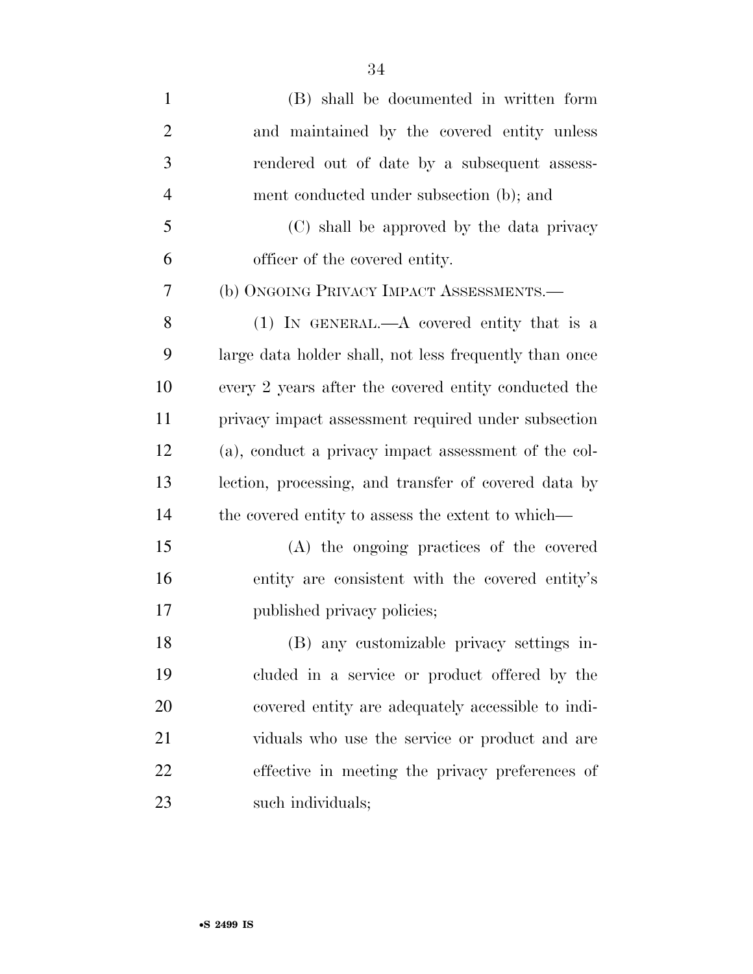| $\mathbf{1}$   | (B) shall be documented in written form                |
|----------------|--------------------------------------------------------|
| $\overline{2}$ | and maintained by the covered entity unless            |
| 3              | rendered out of date by a subsequent assess-           |
| $\overline{4}$ | ment conducted under subsection (b); and               |
| 5              | (C) shall be approved by the data privacy              |
| 6              | officer of the covered entity.                         |
| 7              | (b) ONGOING PRIVACY IMPACT ASSESSMENTS.-               |
| 8              | (1) IN GENERAL.—A covered entity that is a             |
| 9              | large data holder shall, not less frequently than once |
| 10             | every 2 years after the covered entity conducted the   |
| 11             | privacy impact assessment required under subsection    |
| 12             | (a), conduct a privacy impact assessment of the col-   |
| 13             | lection, processing, and transfer of covered data by   |
| 14             | the covered entity to assess the extent to which—      |
| 15             | (A) the ongoing practices of the covered               |
| 16             | entity are consistent with the covered entity's        |
| 17             | published privacy policies;                            |
| 18             | (B) any customizable privacy settings in-              |
| 19             | cluded in a service or product offered by the          |
| n n            | corrected entities are adopted to cooperable to indi-  |

- covered entity are adequately accessible to indi- viduals who use the service or product and are effective in meeting the privacy preferences of
- such individuals;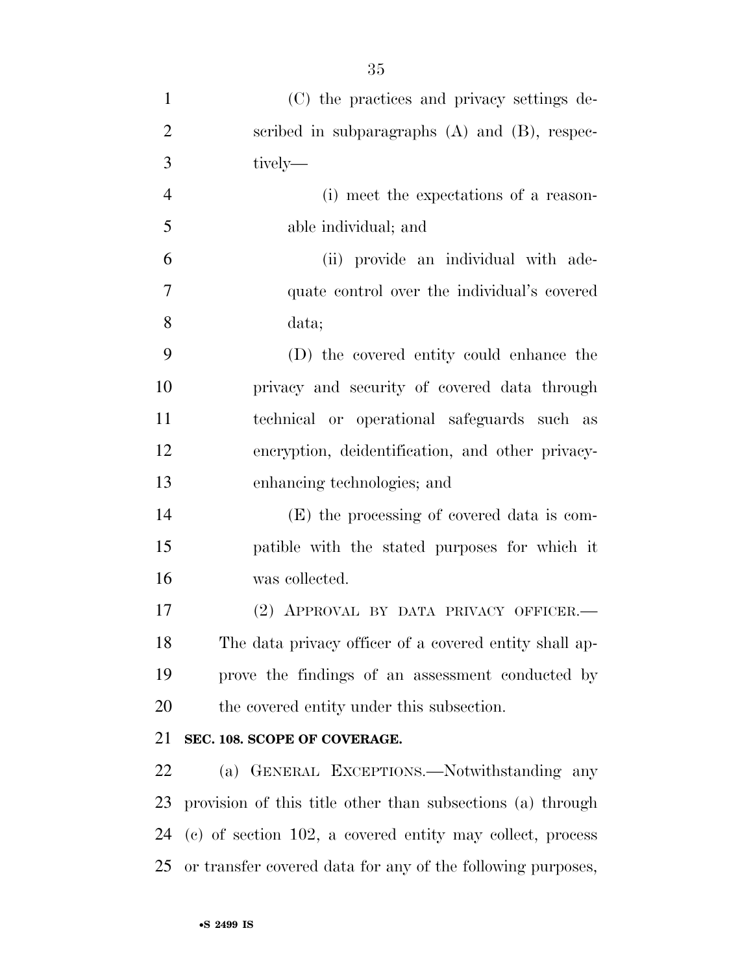| $\mathbf{1}$   | (C) the practices and privacy settings de-                  |
|----------------|-------------------------------------------------------------|
| $\overline{2}$ | scribed in subparagraphs $(A)$ and $(B)$ , respec-          |
| 3              | tively-                                                     |
| $\overline{4}$ | (i) meet the expectations of a reason-                      |
| 5              | able individual; and                                        |
| 6              | (ii) provide an individual with ade-                        |
| $\tau$         | quate control over the individual's covered                 |
| 8              | data;                                                       |
| 9              | (D) the covered entity could enhance the                    |
| 10             | privacy and security of covered data through                |
| 11             | technical or operational safeguards such as                 |
| 12             | encryption, deidentification, and other privacy-            |
| 13             | enhancing technologies; and                                 |
| 14             | (E) the processing of covered data is com-                  |
| 15             | patible with the stated purposes for which it               |
| 16             | was collected.                                              |
| 17             | (2) APPROVAL BY DATA PRIVACY OFFICER.                       |
| 18             | The data privacy officer of a covered entity shall ap-      |
| 19             | prove the findings of an assessment conducted by            |
| 20             | the covered entity under this subsection.                   |
| 21             | SEC. 108. SCOPE OF COVERAGE.                                |
| 22             | (a) GENERAL EXCEPTIONS.—Notwithstanding any                 |
| 23             | provision of this title other than subsections (a) through  |
| 24             | (c) of section 102, a covered entity may collect, process   |
| 25             | or transfer covered data for any of the following purposes, |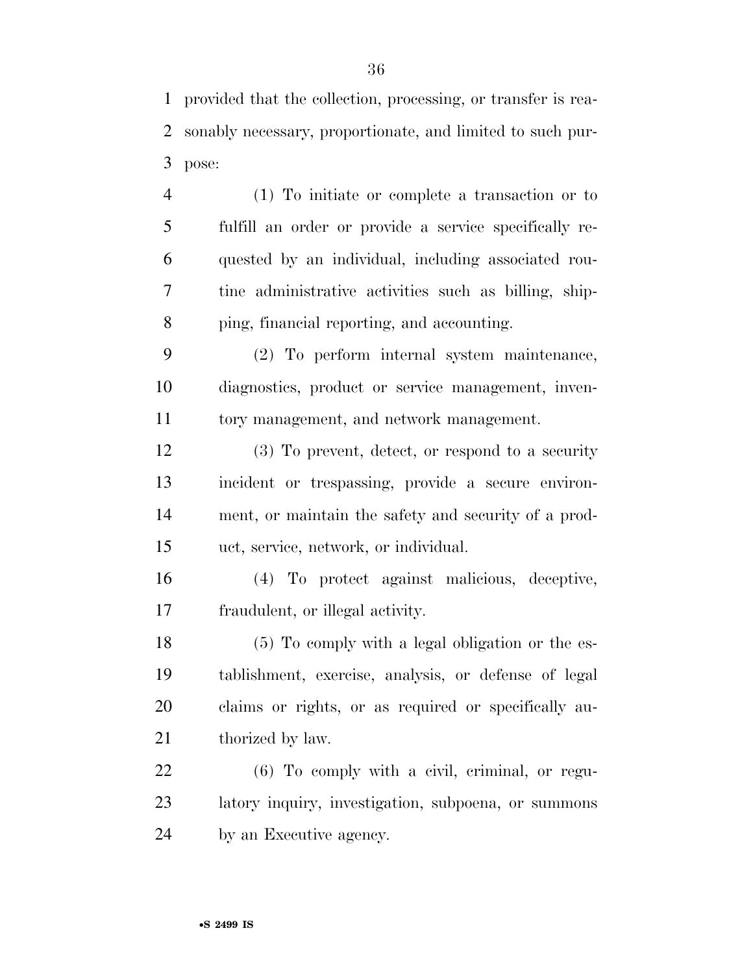provided that the collection, processing, or transfer is rea- sonably necessary, proportionate, and limited to such pur-pose:

 (1) To initiate or complete a transaction or to fulfill an order or provide a service specifically re- quested by an individual, including associated rou- tine administrative activities such as billing, ship-ping, financial reporting, and accounting.

 (2) To perform internal system maintenance, diagnostics, product or service management, inven-tory management, and network management.

 (3) To prevent, detect, or respond to a security incident or trespassing, provide a secure environ- ment, or maintain the safety and security of a prod-uct, service, network, or individual.

 (4) To protect against malicious, deceptive, fraudulent, or illegal activity.

 (5) To comply with a legal obligation or the es- tablishment, exercise, analysis, or defense of legal claims or rights, or as required or specifically au-21 thorized by law.

 (6) To comply with a civil, criminal, or regu- latory inquiry, investigation, subpoena, or summons by an Executive agency.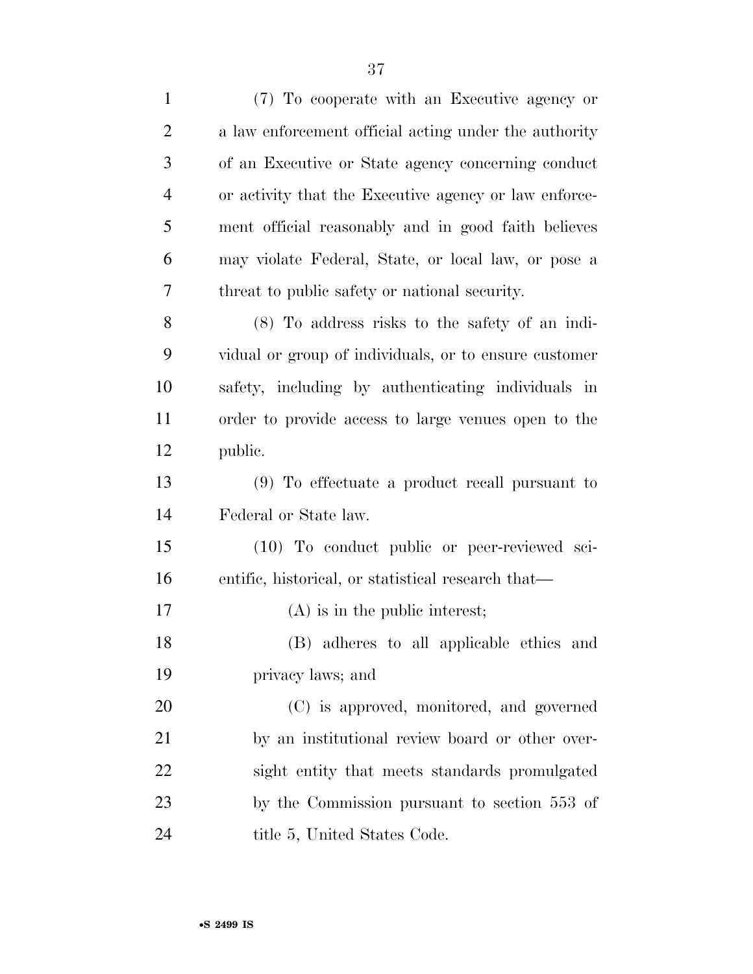| $\mathbf{1}$   | (7) To cooperate with an Executive agency or          |
|----------------|-------------------------------------------------------|
| $\overline{2}$ | a law enforcement official acting under the authority |
| 3              | of an Executive or State agency concerning conduct    |
| $\overline{4}$ | or activity that the Executive agency or law enforce- |
| 5              | ment official reasonably and in good faith believes   |
| 6              | may violate Federal, State, or local law, or pose a   |
| 7              | threat to public safety or national security.         |
| 8              | (8) To address risks to the safety of an indi-        |
| 9              | vidual or group of individuals, or to ensure customer |
| 10             | safety, including by authenticating individuals in    |
| 11             | order to provide access to large venues open to the   |
| 12             | public.                                               |
| 13             | (9) To effectuate a product recall pursuant to        |
| 14             | Federal or State law.                                 |
| 15             | (10) To conduct public or peer-reviewed sci-          |
| 16             | entific, historical, or statistical research that—    |
| 17             | $(A)$ is in the public interest;                      |
| 18             | (B) adheres to all applicable ethics and              |
| 19             | privacy laws; and                                     |
| 20             | (C) is approved, monitored, and governed              |
| 21             | by an institutional review board or other over-       |
| 22             | sight entity that meets standards promulgated         |
| 23             | by the Commission pursuant to section 553 of          |
| 24             | title 5, United States Code.                          |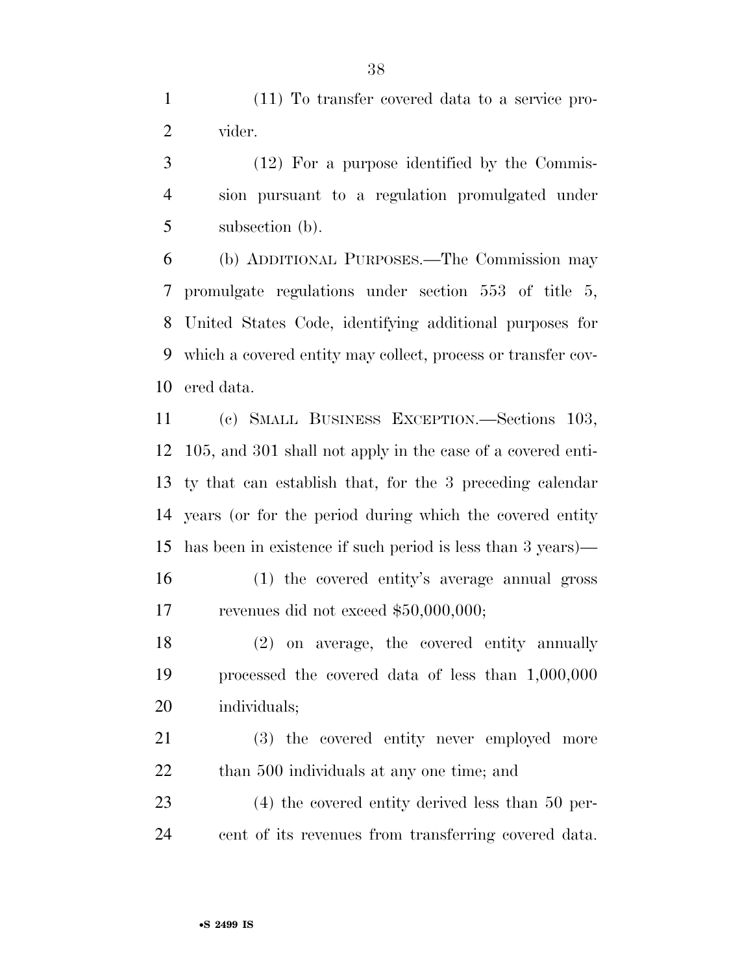(11) To transfer covered data to a service pro-vider.

 (12) For a purpose identified by the Commis- sion pursuant to a regulation promulgated under subsection (b).

 (b) ADDITIONAL PURPOSES.—The Commission may promulgate regulations under section 553 of title 5, United States Code, identifying additional purposes for which a covered entity may collect, process or transfer cov-ered data.

 (c) SMALL BUSINESS EXCEPTION.—Sections 103, 105, and 301 shall not apply in the case of a covered enti- ty that can establish that, for the 3 preceding calendar years (or for the period during which the covered entity has been in existence if such period is less than 3 years)—

 (1) the covered entity's average annual gross 17 revenues did not exceed \$50,000,000;

 (2) on average, the covered entity annually processed the covered data of less than 1,000,000 individuals;

 (3) the covered entity never employed more 22 than 500 individuals at any one time; and

 (4) the covered entity derived less than 50 per-cent of its revenues from transferring covered data.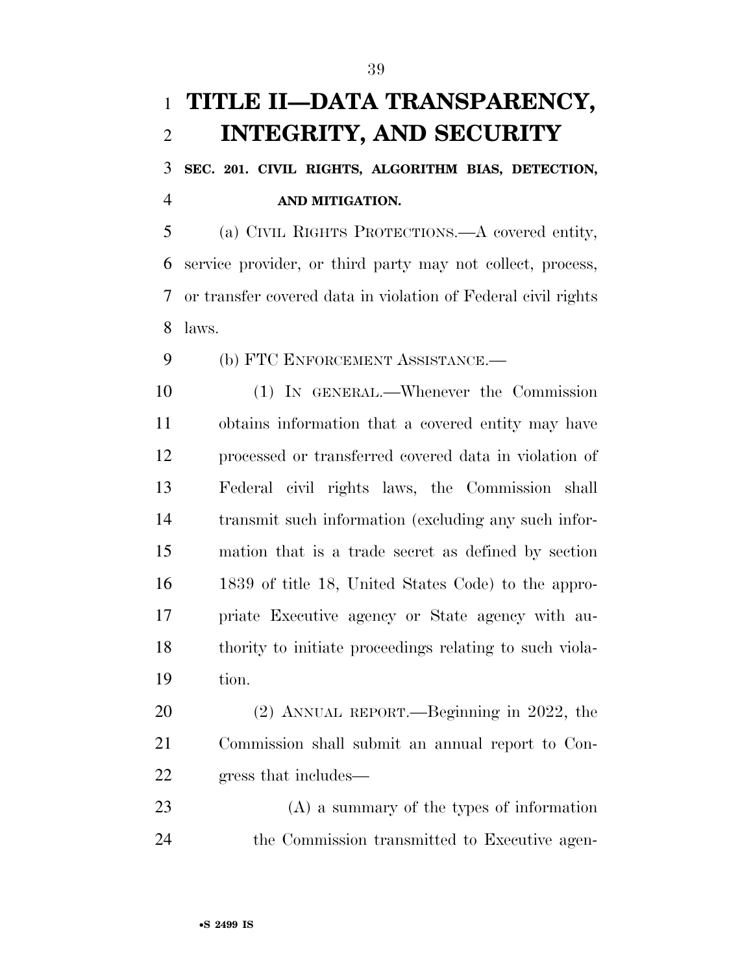# **TITLE II—DATA TRANSPARENCY, INTEGRITY, AND SECURITY**

 **SEC. 201. CIVIL RIGHTS, ALGORITHM BIAS, DETECTION, AND MITIGATION.** 

 (a) CIVIL RIGHTS PROTECTIONS.—A covered entity, service provider, or third party may not collect, process, or transfer covered data in violation of Federal civil rights laws.

(b) FTC ENFORCEMENT ASSISTANCE.—

 (1) IN GENERAL.—Whenever the Commission obtains information that a covered entity may have processed or transferred covered data in violation of Federal civil rights laws, the Commission shall transmit such information (excluding any such infor- mation that is a trade secret as defined by section 1839 of title 18, United States Code) to the appro- priate Executive agency or State agency with au- thority to initiate proceedings relating to such viola-tion.

 (2) ANNUAL REPORT.—Beginning in 2022, the Commission shall submit an annual report to Con-gress that includes—

 (A) a summary of the types of information the Commission transmitted to Executive agen-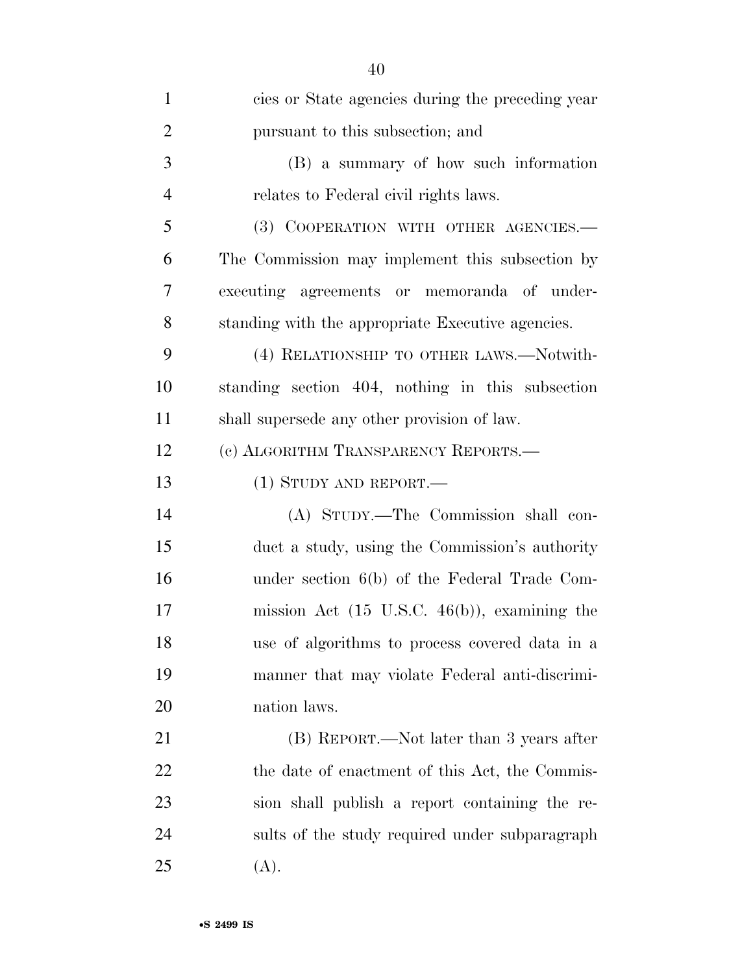| $\mathbf{1}$   | cies or State agencies during the preceding year         |
|----------------|----------------------------------------------------------|
| $\overline{2}$ | pursuant to this subsection; and                         |
| 3              | (B) a summary of how such information                    |
| $\overline{4}$ | relates to Federal civil rights laws.                    |
| 5              | (3) COOPERATION WITH OTHER AGENCIES.-                    |
| 6              | The Commission may implement this subsection by          |
| 7              | executing agreements or memoranda of under-              |
| 8              | standing with the appropriate Executive agencies.        |
| 9              | (4) RELATIONSHIP TO OTHER LAWS.—Notwith-                 |
| 10             | standing section 404, nothing in this subsection         |
| 11             | shall supersede any other provision of law.              |
| 12             | (c) ALGORITHM TRANSPARENCY REPORTS.—                     |
| 13             | $(1)$ STUDY AND REPORT.—                                 |
| 14             | (A) STUDY.—The Commission shall con-                     |
| 15             | duct a study, using the Commission's authority           |
| 16             | under section 6(b) of the Federal Trade Com-             |
| 17             | mission Act $(15 \text{ U.S.C. } 46(b))$ , examining the |
| 18             | use of algorithms to process covered data in a           |
| 19             | manner that may violate Federal anti-discrimi-           |
| 20             | nation laws.                                             |
| 21             | (B) REPORT.—Not later than 3 years after                 |
| 22             | the date of enactment of this Act, the Commis-           |
| 23             | sion shall publish a report containing the re-           |
| 24             | sults of the study required under subparagraph           |
| 25             | (A).                                                     |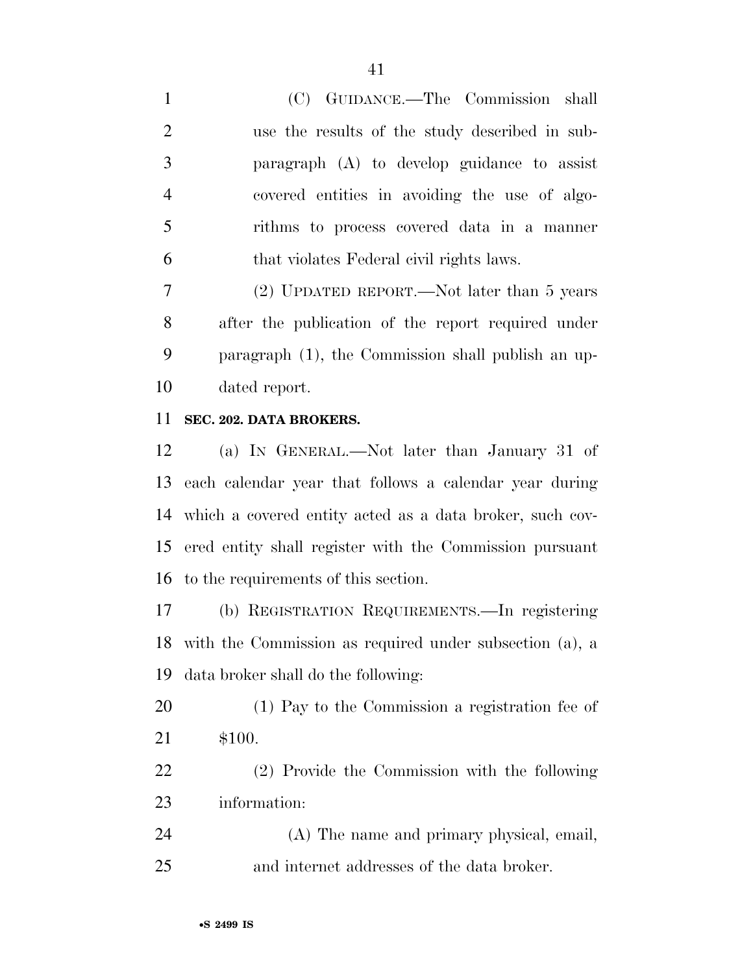(C) GUIDANCE.—The Commission shall use the results of the study described in sub- paragraph (A) to develop guidance to assist covered entities in avoiding the use of algo- rithms to process covered data in a manner that violates Federal civil rights laws.

 (2) UPDATED REPORT.—Not later than 5 years after the publication of the report required under paragraph (1), the Commission shall publish an up-dated report.

### **SEC. 202. DATA BROKERS.**

 (a) IN GENERAL.—Not later than January 31 of each calendar year that follows a calendar year during which a covered entity acted as a data broker, such cov- ered entity shall register with the Commission pursuant to the requirements of this section.

 (b) REGISTRATION REQUIREMENTS.—In registering with the Commission as required under subsection (a), a data broker shall do the following:

 (1) Pay to the Commission a registration fee of \$100.

 (2) Provide the Commission with the following information:

 (A) The name and primary physical, email, and internet addresses of the data broker.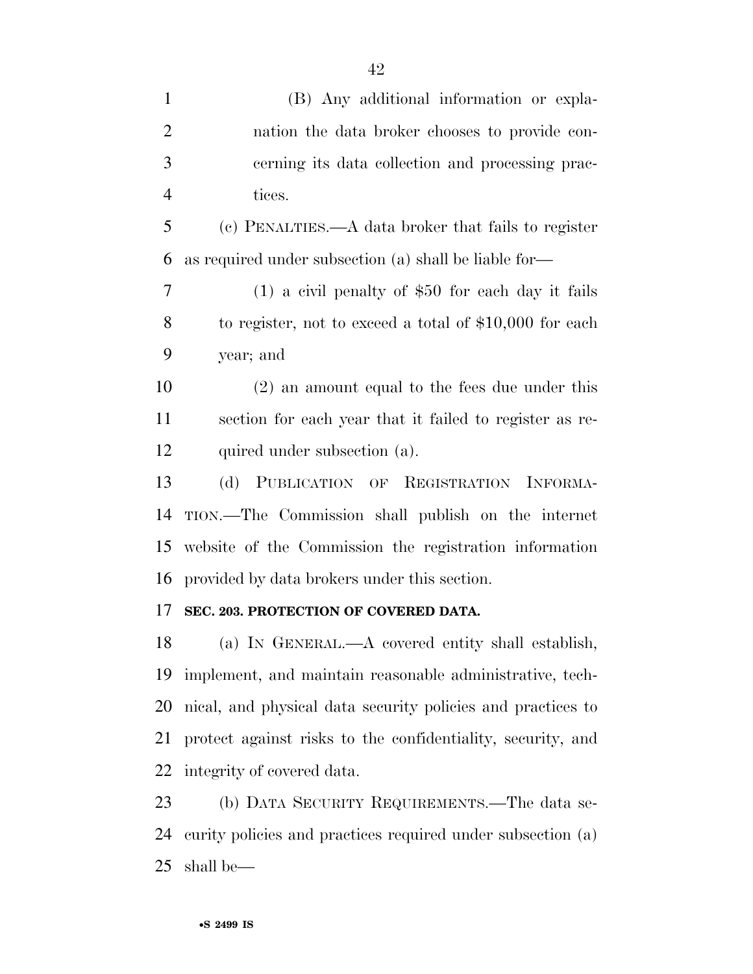| $\mathbf{1}$   | (B) Any additional information or expla-                    |
|----------------|-------------------------------------------------------------|
| $\overline{2}$ | nation the data broker chooses to provide con-              |
| 3              | cerning its data collection and processing prac-            |
| $\overline{4}$ | tices.                                                      |
| 5              | (c) PENALTIES.— $A$ data broker that fails to register      |
| 6              | as required under subsection (a) shall be liable for-       |
| 7              | $(1)$ a civil penalty of \$50 for each day it fails         |
| 8              | to register, not to exceed a total of $$10,000$ for each    |
| 9              | year; and                                                   |
| 10             | $(2)$ an amount equal to the fees due under this            |
| 11             | section for each year that it failed to register as re-     |
| 12             | quired under subsection (a).                                |
| 13             | (d) PUBLICATION OF REGISTRATION INFORMA-                    |
| 14             | TION.—The Commission shall publish on the internet          |
| 15             | website of the Commission the registration information      |
| 16             | provided by data brokers under this section.                |
| 17             | SEC. 203. PROTECTION OF COVERED DATA.                       |
| 18             | (a) IN GENERAL.- A covered entity shall establish,          |
| 19             | implement, and maintain reasonable administrative, tech-    |
| 20             | nical, and physical data security policies and practices to |
| 21             | protect against risks to the confidentiality, security, and |
| 22             | integrity of covered data.                                  |
| 23             | (b) DATA SECURITY REQUIREMENTS.—The data se-                |
| 24             | curity policies and practices required under subsection (a) |

shall be—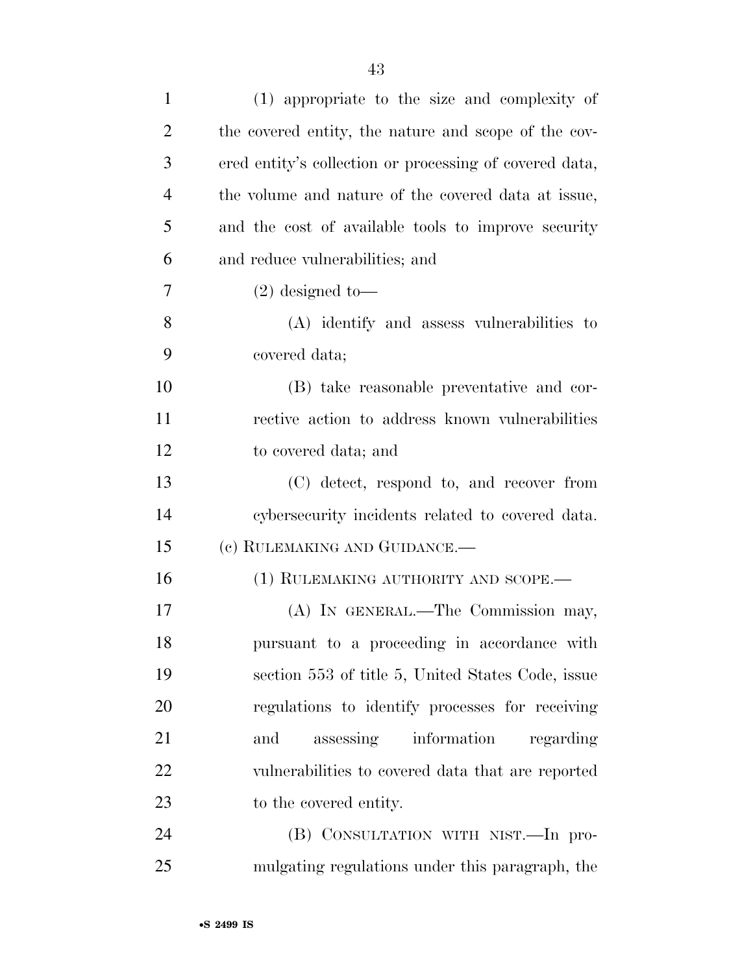| $\mathbf{1}$   | (1) appropriate to the size and complexity of           |
|----------------|---------------------------------------------------------|
| $\overline{2}$ | the covered entity, the nature and scope of the cov-    |
| 3              | ered entity's collection or processing of covered data, |
| $\overline{4}$ | the volume and nature of the covered data at issue,     |
| 5              | and the cost of available tools to improve security     |
| 6              | and reduce vulnerabilities; and                         |
| 7              | $(2)$ designed to-                                      |
| 8              | (A) identify and assess vulnerabilities to              |
| 9              | covered data;                                           |
| 10             | (B) take reasonable preventative and cor-               |
| 11             | rective action to address known vulnerabilities         |
| 12             | to covered data; and                                    |
| 13             | (C) detect, respond to, and recover from                |
| 14             | cybers equility incidents related to covered data.      |
| 15             | (c) RULEMAKING AND GUIDANCE.—                           |
| 16             | (1) RULEMAKING AUTHORITY AND SCOPE.-                    |
| 17             | (A) IN GENERAL.—The Commission may,                     |
| 18             | pursuant to a proceeding in accordance with             |
| 19             | section 553 of title 5, United States Code, issue       |
| 20             | regulations to identify processes for receiving         |
| 21             | assessing information<br>regarding<br>and               |
| 22             | vulnerabilities to covered data that are reported       |
| 23             | to the covered entity.                                  |
| 24             | (B) CONSULTATION WITH NIST.—In pro-                     |
| 25             | mulgating regulations under this paragraph, the         |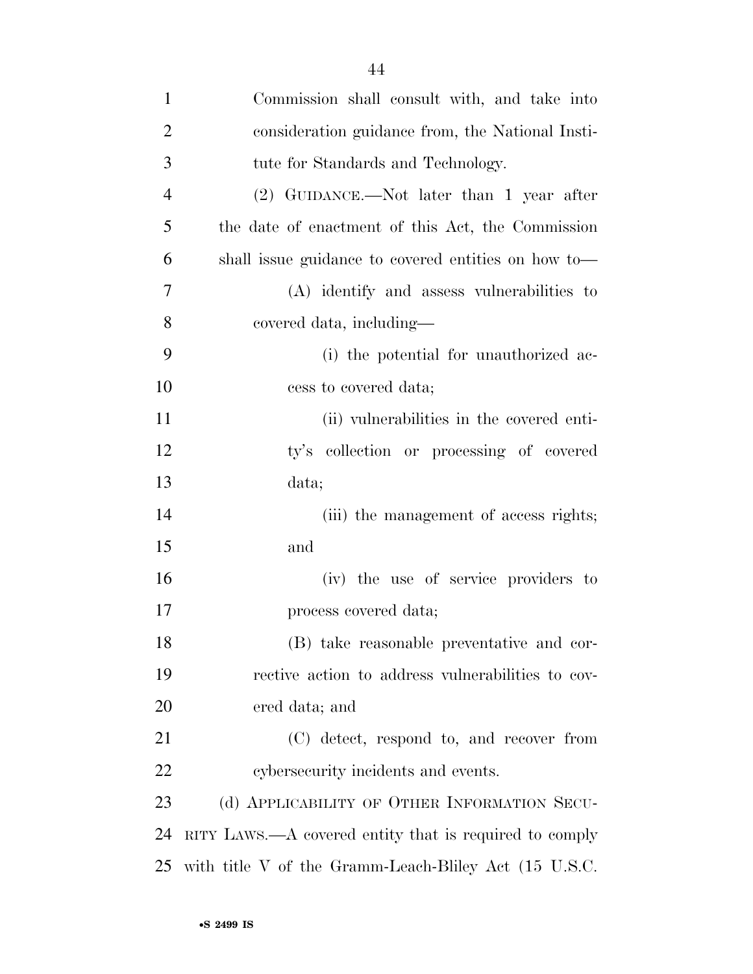| $\mathbf{1}$   | Commission shall consult with, and take into              |
|----------------|-----------------------------------------------------------|
| $\overline{2}$ | consideration guidance from, the National Insti-          |
| 3              | tute for Standards and Technology.                        |
| $\overline{4}$ | (2) GUIDANCE.—Not later than 1 year after                 |
| 5              | the date of enactment of this Act, the Commission         |
| 6              | shall issue guidance to covered entities on how to        |
| 7              | (A) identify and assess vulnerabilities to                |
| 8              | covered data, including—                                  |
| 9              | (i) the potential for unauthorized ac-                    |
| 10             | cess to covered data;                                     |
| 11             | (ii) vulnerabilities in the covered enti-                 |
| 12             | ty's collection or processing of covered                  |
| 13             | data;                                                     |
| 14             | (iii) the management of access rights;                    |
| 15             | and                                                       |
| 16             | (iv) the use of service providers to                      |
| 17             | process covered data;                                     |
| 18             | (B) take reasonable preventative and cor-                 |
| 19             | rective action to address vulnerabilities to cov-         |
| 20             | ered data; and                                            |
| 21             | (C) detect, respond to, and recover from                  |
| 22             | cybersecurity incidents and events.                       |
| 23             | (d) APPLICABILITY OF OTHER INFORMATION SECU-              |
| 24             | RITY LAWS.— $A$ covered entity that is required to comply |
| 25             | with title V of the Gramm-Leach-Bliley Act (15 U.S.C.     |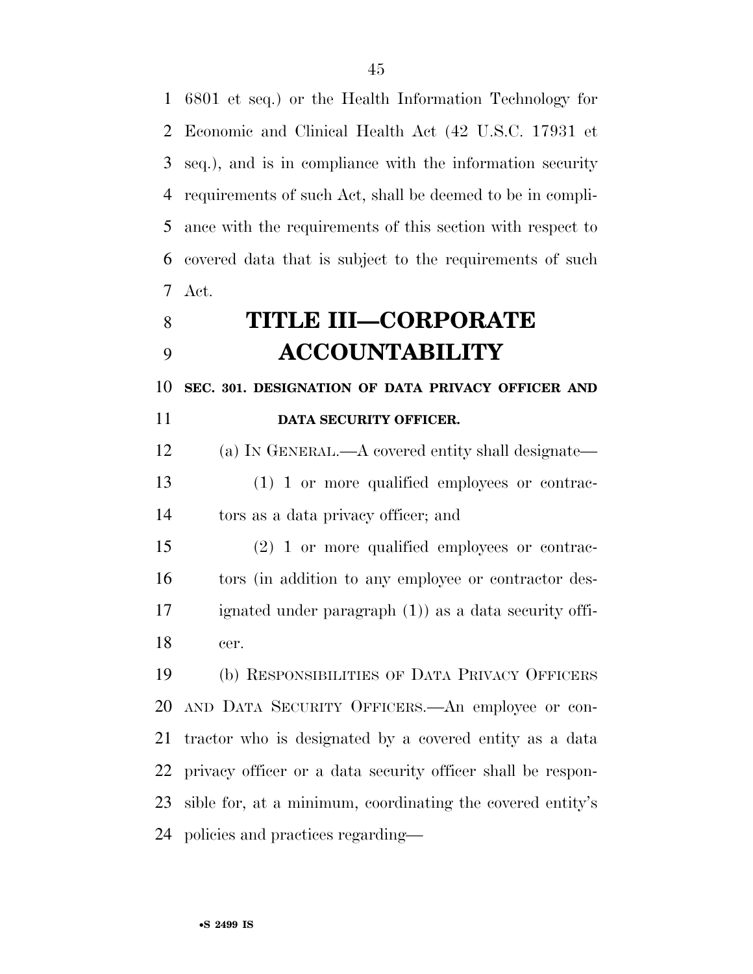6801 et seq.) or the Health Information Technology for Economic and Clinical Health Act (42 U.S.C. 17931 et seq.), and is in compliance with the information security requirements of such Act, shall be deemed to be in compli- ance with the requirements of this section with respect to covered data that is subject to the requirements of such Act.

# **TITLE III—CORPORATE ACCOUNTABILITY**

**SEC. 301. DESIGNATION OF DATA PRIVACY OFFICER AND** 

 (a) IN GENERAL.—A covered entity shall designate— (1) 1 or more qualified employees or contrac-tors as a data privacy officer; and

 (2) 1 or more qualified employees or contrac- tors (in addition to any employee or contractor des- ignated under paragraph (1)) as a data security offi-cer.

 (b) RESPONSIBILITIES OF DATA PRIVACY OFFICERS AND DATA SECURITY OFFICERS.—An employee or con- tractor who is designated by a covered entity as a data privacy officer or a data security officer shall be respon- sible for, at a minimum, coordinating the covered entity's policies and practices regarding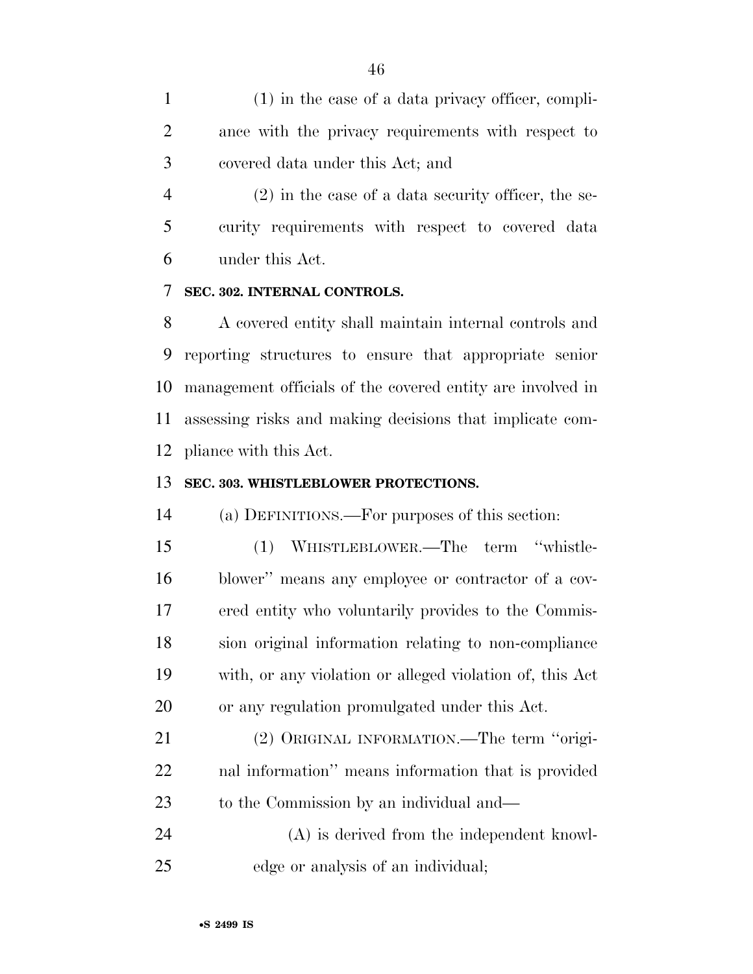(1) in the case of a data privacy officer, compli- ance with the privacy requirements with respect to covered data under this Act; and

 (2) in the case of a data security officer, the se- curity requirements with respect to covered data under this Act.

### **SEC. 302. INTERNAL CONTROLS.**

 A covered entity shall maintain internal controls and reporting structures to ensure that appropriate senior management officials of the covered entity are involved in assessing risks and making decisions that implicate com-pliance with this Act.

#### **SEC. 303. WHISTLEBLOWER PROTECTIONS.**

(a) DEFINITIONS.—For purposes of this section:

 (1) WHISTLEBLOWER.—The term ''whistle- blower'' means any employee or contractor of a cov- ered entity who voluntarily provides to the Commis- sion original information relating to non-compliance with, or any violation or alleged violation of, this Act or any regulation promulgated under this Act.

 (2) ORIGINAL INFORMATION.—The term ''origi- nal information'' means information that is provided to the Commission by an individual and—

 (A) is derived from the independent knowl-edge or analysis of an individual;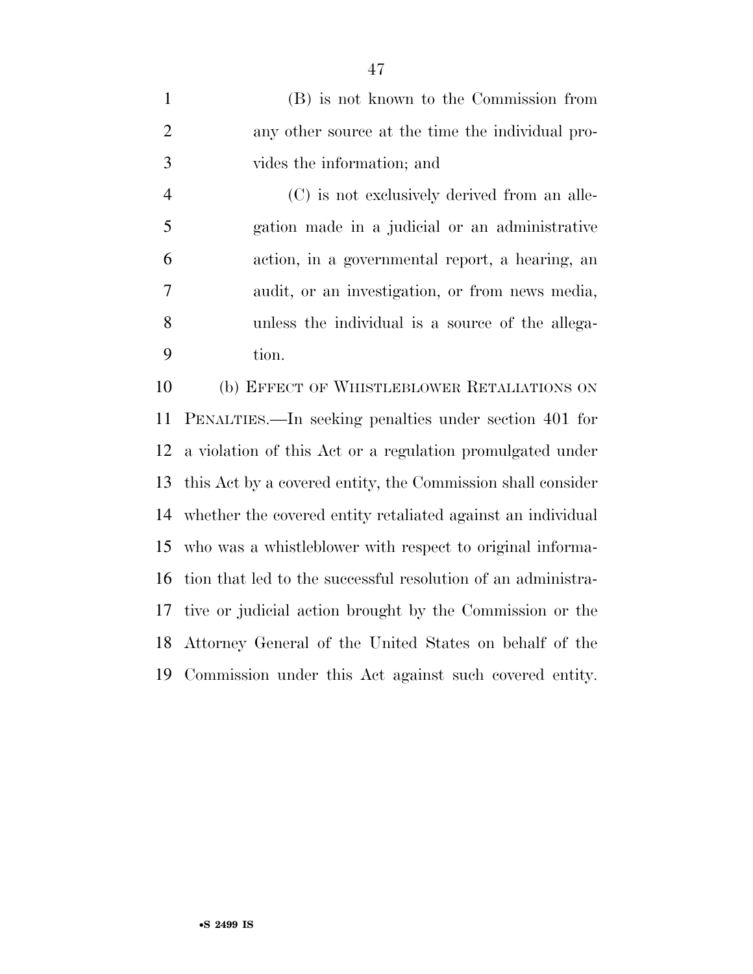(B) is not known to the Commission from 2 any other source at the time the individual pro-vides the information; and

 (C) is not exclusively derived from an alle- gation made in a judicial or an administrative action, in a governmental report, a hearing, an audit, or an investigation, or from news media, unless the individual is a source of the allega-tion.

 (b) EFFECT OF WHISTLEBLOWER RETALIATIONS ON PENALTIES.—In seeking penalties under section 401 for a violation of this Act or a regulation promulgated under this Act by a covered entity, the Commission shall consider whether the covered entity retaliated against an individual who was a whistleblower with respect to original informa- tion that led to the successful resolution of an administra- tive or judicial action brought by the Commission or the Attorney General of the United States on behalf of the Commission under this Act against such covered entity.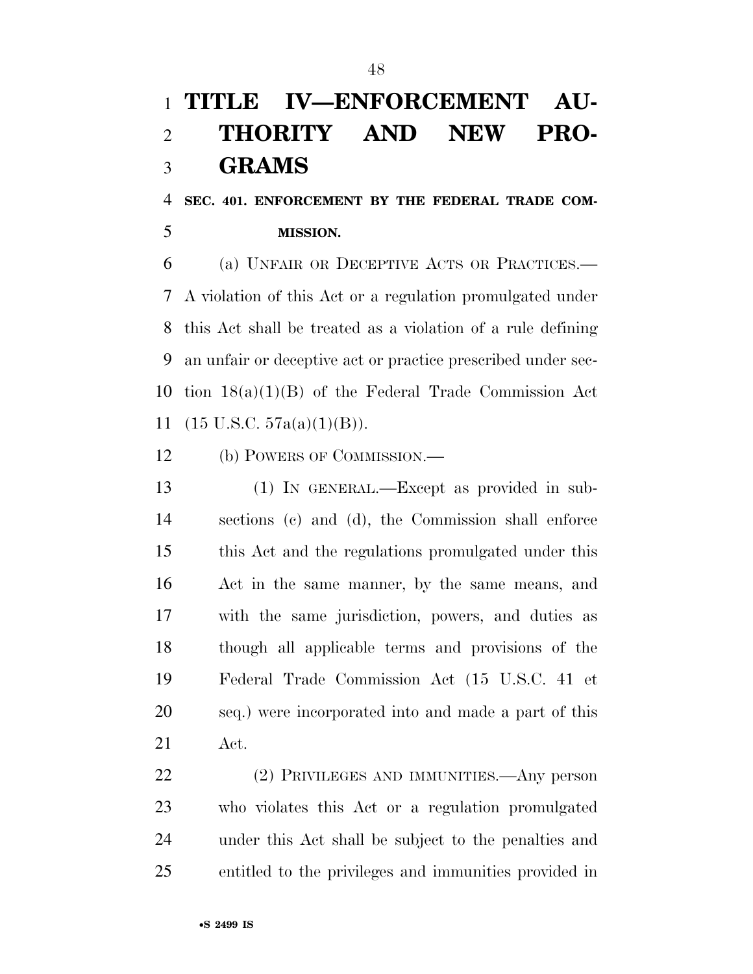# **TITLE IV—ENFORCEMENT AU- THORITY AND NEW PRO-GRAMS**

# **SEC. 401. ENFORCEMENT BY THE FEDERAL TRADE COM-MISSION.**

 (a) UNFAIR OR DECEPTIVE ACTS OR PRACTICES.— A violation of this Act or a regulation promulgated under this Act shall be treated as a violation of a rule defining an unfair or deceptive act or practice prescribed under sec- tion 18(a)(1)(B) of the Federal Trade Commission Act (15 U.S.C. 57a(a)(1)(B)).

(b) POWERS OF COMMISSION.—

 (1) IN GENERAL.—Except as provided in sub- sections (c) and (d), the Commission shall enforce this Act and the regulations promulgated under this Act in the same manner, by the same means, and with the same jurisdiction, powers, and duties as though all applicable terms and provisions of the Federal Trade Commission Act (15 U.S.C. 41 et seq.) were incorporated into and made a part of this Act.

 (2) PRIVILEGES AND IMMUNITIES.—Any person who violates this Act or a regulation promulgated under this Act shall be subject to the penalties and entitled to the privileges and immunities provided in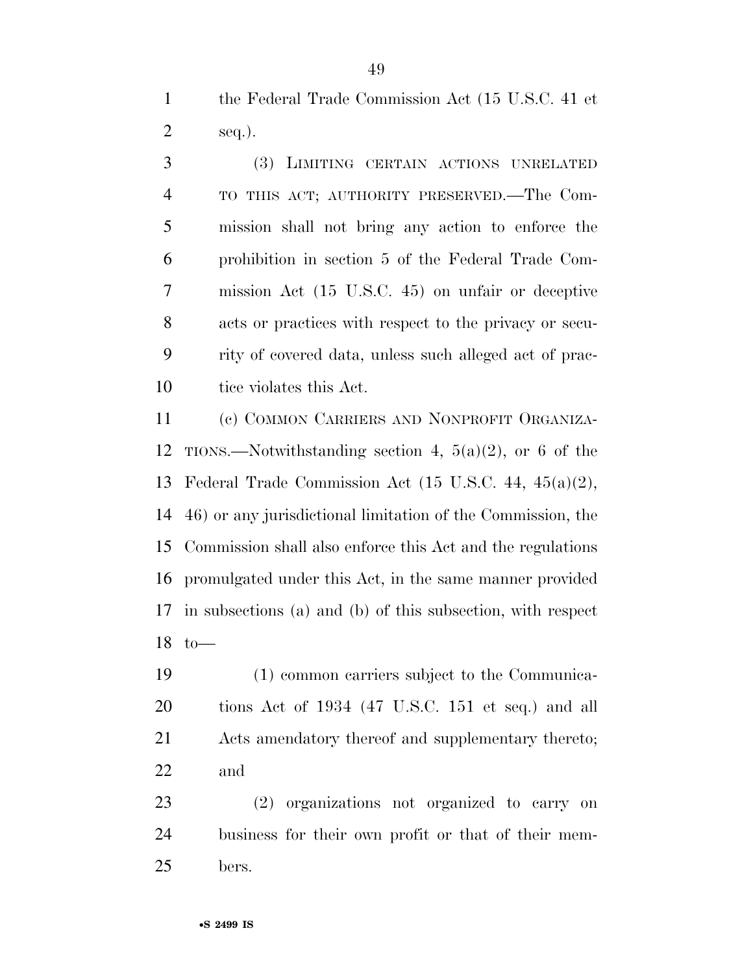the Federal Trade Commission Act (15 U.S.C. 41 et seq.).

 (3) LIMITING CERTAIN ACTIONS UNRELATED TO THIS ACT; AUTHORITY PRESERVED.—The Com- mission shall not bring any action to enforce the prohibition in section 5 of the Federal Trade Com- mission Act (15 U.S.C. 45) on unfair or deceptive acts or practices with respect to the privacy or secu- rity of covered data, unless such alleged act of prac-tice violates this Act.

 (c) COMMON CARRIERS AND NONPROFIT ORGANIZA- TIONS.—Notwithstanding section 4, 5(a)(2), or 6 of the Federal Trade Commission Act (15 U.S.C. 44, 45(a)(2), 46) or any jurisdictional limitation of the Commission, the Commission shall also enforce this Act and the regulations promulgated under this Act, in the same manner provided in subsections (a) and (b) of this subsection, with respect to—

 (1) common carriers subject to the Communica- tions Act of 1934 (47 U.S.C. 151 et seq.) and all Acts amendatory thereof and supplementary thereto; and

 (2) organizations not organized to carry on business for their own profit or that of their mem-bers.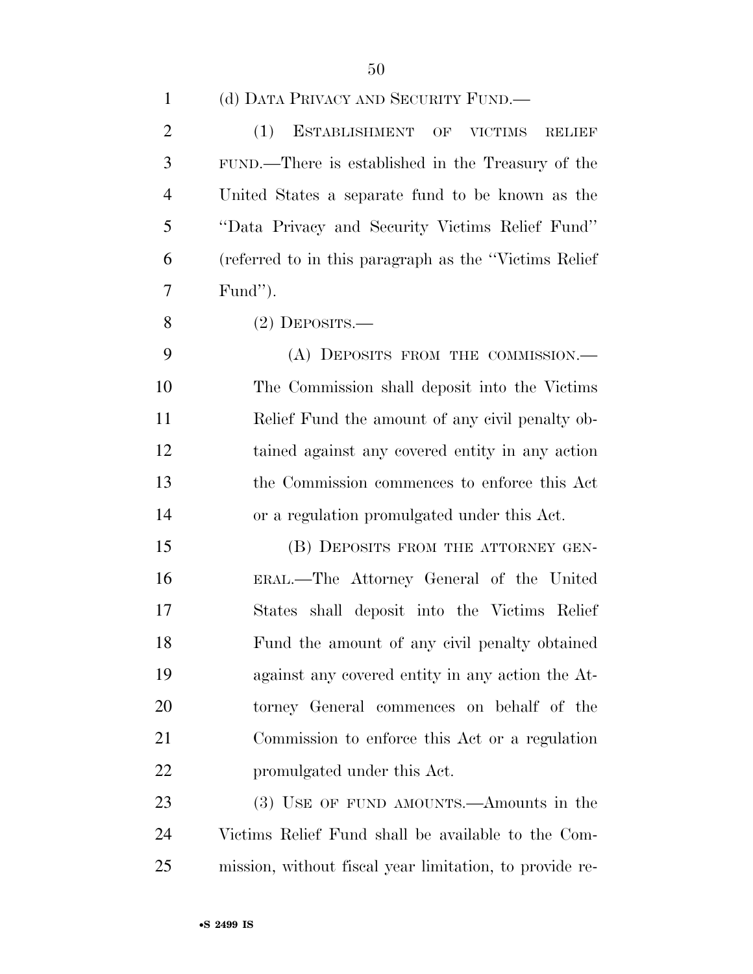| $\mathbf{1}$   | (d) DATA PRIVACY AND SECURITY FUND.—                    |
|----------------|---------------------------------------------------------|
| $\overline{2}$ | (1)<br>ESTABLISHMENT OF VICTIMS<br><b>RELIEF</b>        |
| 3              | FUND.—There is established in the Treasury of the       |
| $\overline{4}$ | United States a separate fund to be known as the        |
| 5              | "Data Privacy and Security Victims Relief Fund"         |
| 6              | (referred to in this paragraph as the "Victims Relief") |
| 7              | Fund").                                                 |
| 8              | $(2)$ DEPOSITS.—                                        |
| 9              | (A) DEPOSITS FROM THE COMMISSION.—                      |
| 10             | The Commission shall deposit into the Victims           |
| 11             | Relief Fund the amount of any civil penalty ob-         |
| 12             | tained against any covered entity in any action         |
| 13             | the Commission commences to enforce this Act            |
| 14             | or a regulation promulgated under this Act.             |
| 15             | (B) DEPOSITS FROM THE ATTORNEY GEN-                     |
| 16             | ERAL.—The Attorney General of the United                |
| 17             | States shall deposit into the Victims Relief            |
| 18             | Fund the amount of any civil penalty obtained           |
| 19             | against any covered entity in any action the At-        |
| 20             | torney General commences on behalf of the               |
| 21             | Commission to enforce this Act or a regulation          |
| 22             | promulgated under this Act.                             |
| 23             | (3) USE OF FUND AMOUNTS.—Amounts in the                 |
| 24             | Victims Relief Fund shall be available to the Com-      |

mission, without fiscal year limitation, to provide re-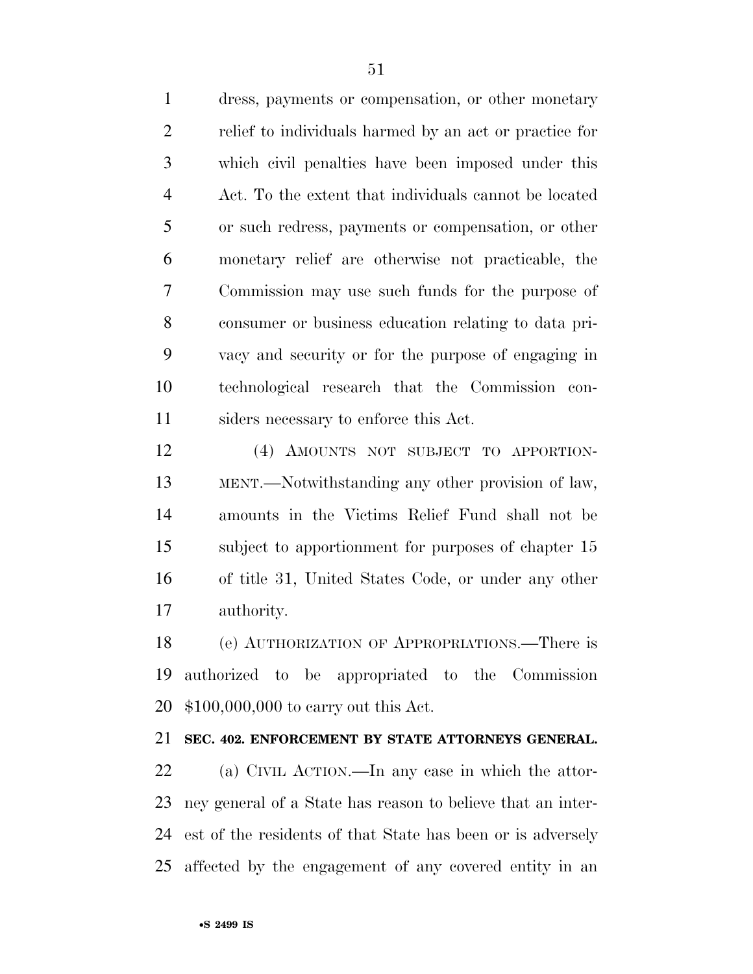dress, payments or compensation, or other monetary relief to individuals harmed by an act or practice for which civil penalties have been imposed under this Act. To the extent that individuals cannot be located or such redress, payments or compensation, or other monetary relief are otherwise not practicable, the Commission may use such funds for the purpose of consumer or business education relating to data pri- vacy and security or for the purpose of engaging in technological research that the Commission con-siders necessary to enforce this Act.

 (4) AMOUNTS NOT SUBJECT TO APPORTION- MENT.—Notwithstanding any other provision of law, amounts in the Victims Relief Fund shall not be subject to apportionment for purposes of chapter 15 of title 31, United States Code, or under any other authority.

 (e) AUTHORIZATION OF APPROPRIATIONS.—There is authorized to be appropriated to the Commission \$100,000,000 to carry out this Act.

## **SEC. 402. ENFORCEMENT BY STATE ATTORNEYS GENERAL.**

 (a) CIVIL ACTION.—In any case in which the attor- ney general of a State has reason to believe that an inter- est of the residents of that State has been or is adversely affected by the engagement of any covered entity in an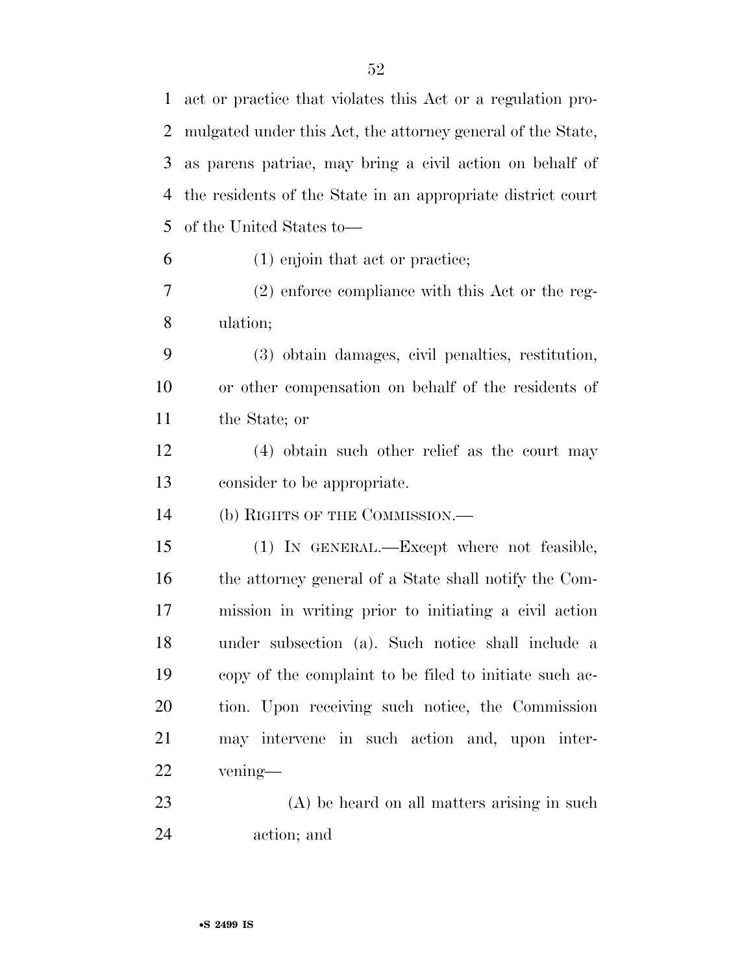| $\mathbf{1}$   | act or practice that violates this Act or a regulation pro- |
|----------------|-------------------------------------------------------------|
| 2              | mulgated under this Act, the attorney general of the State, |
| 3              | as parens patriae, may bring a civil action on behalf of    |
| $\overline{4}$ | the residents of the State in an appropriate district court |
| 5              | of the United States to-                                    |
| 6              | $(1)$ enjoin that act or practice;                          |
| 7              | $(2)$ enforce compliance with this Act or the reg-          |
| 8              | ulation;                                                    |
| 9              | (3) obtain damages, civil penalties, restitution,           |
| 10             | or other compensation on behalf of the residents of         |
| 11             | the State; or                                               |
| 12             | $(4)$ obtain such other relief as the court may             |
| 13             | consider to be appropriate.                                 |
| 14             | (b) RIGHTS OF THE COMMISSION.—                              |
| 15             | (1) IN GENERAL.—Except where not feasible,                  |
| 16             | the attorney general of a State shall notify the Com-       |
| 17             | mission in writing prior to initiating a civil action       |
| 18             | under subsection (a). Such notice shall include a           |
| 19             | copy of the complaint to be filed to initiate such ac-      |
| 20             | tion. Upon receiving such notice, the Commission            |
| 21             | may intervene in such action and, upon inter-               |
| 22             | vening—                                                     |
| 23             | (A) be heard on all matters arising in such                 |

action; and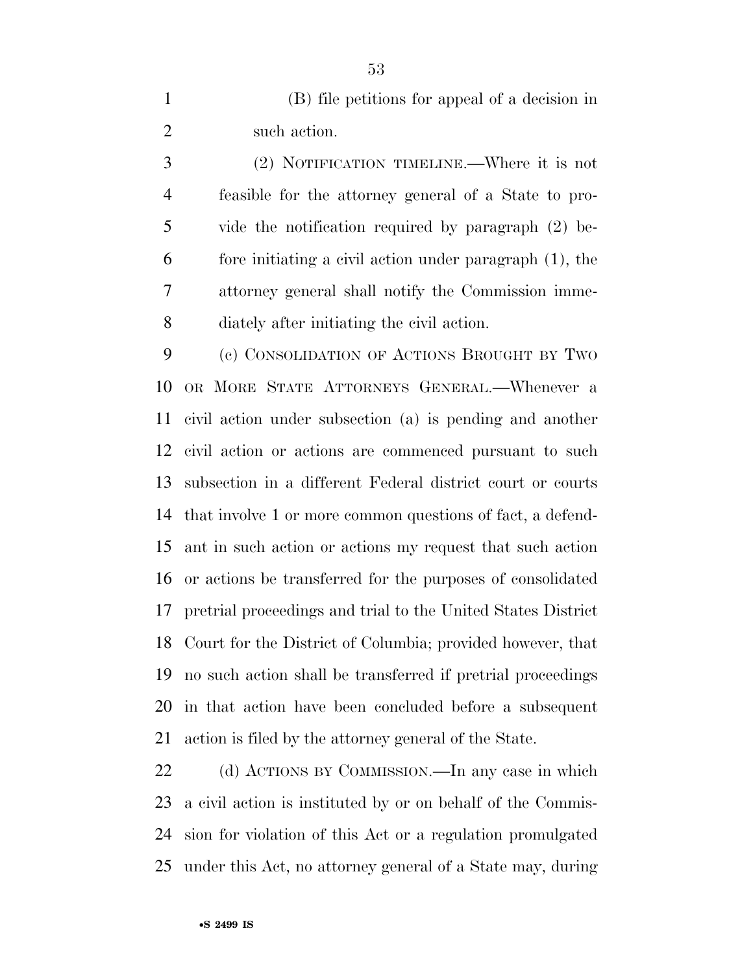(B) file petitions for appeal of a decision in such action.

 (2) NOTIFICATION TIMELINE.—Where it is not feasible for the attorney general of a State to pro- vide the notification required by paragraph (2) be- fore initiating a civil action under paragraph (1), the attorney general shall notify the Commission imme-diately after initiating the civil action.

 (c) CONSOLIDATION OF ACTIONS BROUGHT BY TWO OR MORE STATE ATTORNEYS GENERAL.—Whenever a civil action under subsection (a) is pending and another civil action or actions are commenced pursuant to such subsection in a different Federal district court or courts that involve 1 or more common questions of fact, a defend- ant in such action or actions my request that such action or actions be transferred for the purposes of consolidated pretrial proceedings and trial to the United States District Court for the District of Columbia; provided however, that no such action shall be transferred if pretrial proceedings in that action have been concluded before a subsequent action is filed by the attorney general of the State.

22 (d) ACTIONS BY COMMISSION.—In any case in which a civil action is instituted by or on behalf of the Commis- sion for violation of this Act or a regulation promulgated under this Act, no attorney general of a State may, during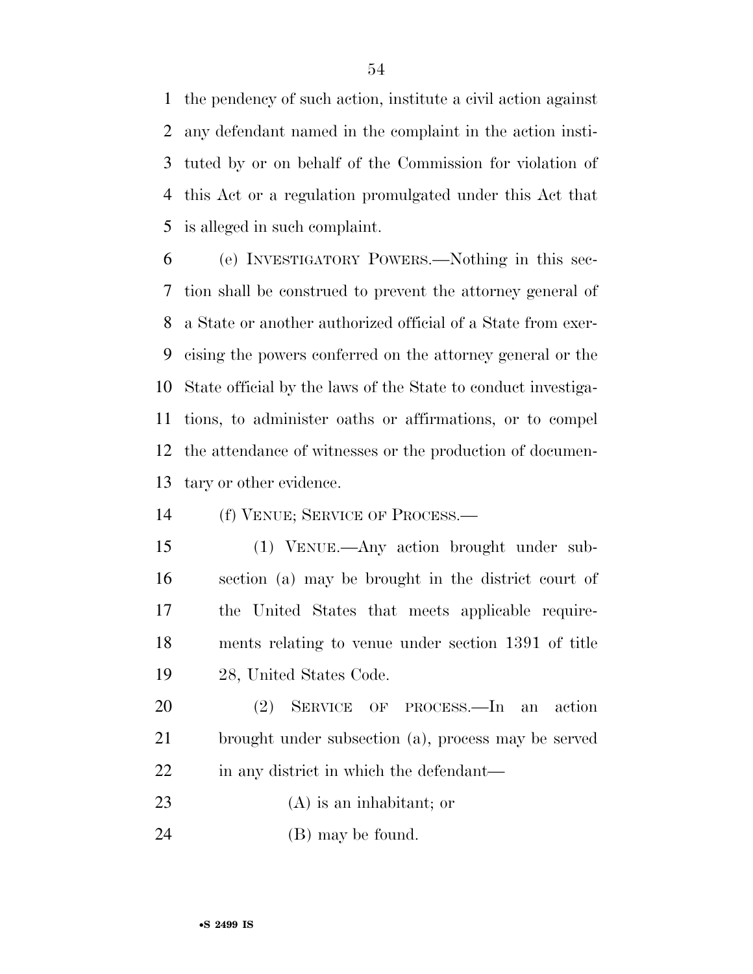the pendency of such action, institute a civil action against any defendant named in the complaint in the action insti- tuted by or on behalf of the Commission for violation of this Act or a regulation promulgated under this Act that is alleged in such complaint.

 (e) INVESTIGATORY POWERS.—Nothing in this sec- tion shall be construed to prevent the attorney general of a State or another authorized official of a State from exer- cising the powers conferred on the attorney general or the State official by the laws of the State to conduct investiga- tions, to administer oaths or affirmations, or to compel the attendance of witnesses or the production of documen-tary or other evidence.

(f) VENUE; SERVICE OF PROCESS.—

 (1) VENUE.—Any action brought under sub- section (a) may be brought in the district court of the United States that meets applicable require- ments relating to venue under section 1391 of title 28, United States Code.

 (2) SERVICE OF PROCESS.—In an action brought under subsection (a), process may be served 22 in any district in which the defendant—

(A) is an inhabitant; or

(B) may be found.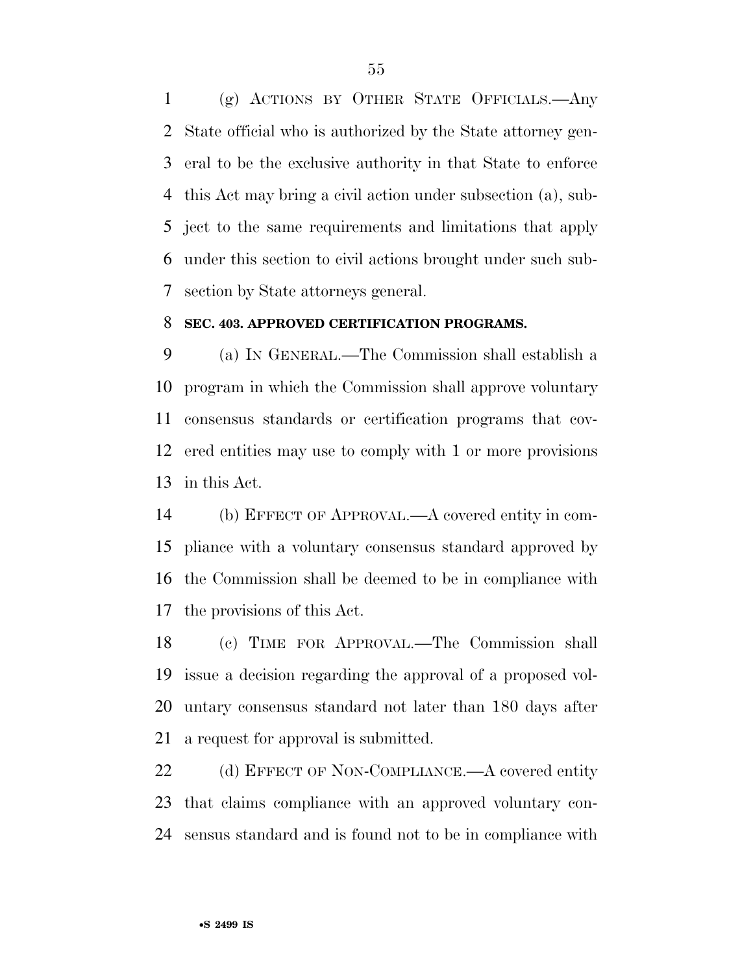(g) ACTIONS BY OTHER STATE OFFICIALS.—Any State official who is authorized by the State attorney gen- eral to be the exclusive authority in that State to enforce this Act may bring a civil action under subsection (a), sub- ject to the same requirements and limitations that apply under this section to civil actions brought under such sub-section by State attorneys general.

#### **SEC. 403. APPROVED CERTIFICATION PROGRAMS.**

 (a) IN GENERAL.—The Commission shall establish a program in which the Commission shall approve voluntary consensus standards or certification programs that cov- ered entities may use to comply with 1 or more provisions in this Act.

 (b) EFFECT OF APPROVAL.—A covered entity in com- pliance with a voluntary consensus standard approved by the Commission shall be deemed to be in compliance with the provisions of this Act.

 (c) TIME FOR APPROVAL.—The Commission shall issue a decision regarding the approval of a proposed vol- untary consensus standard not later than 180 days after a request for approval is submitted.

22 (d) EFFECT OF NON-COMPLIANCE.—A covered entity that claims compliance with an approved voluntary con-sensus standard and is found not to be in compliance with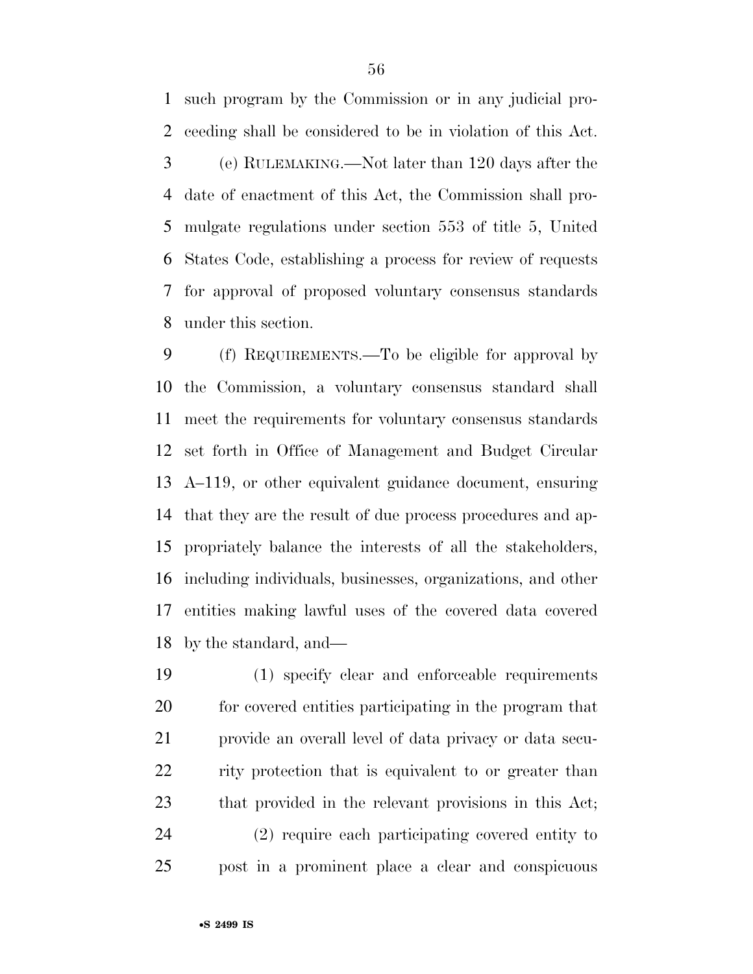such program by the Commission or in any judicial pro- ceeding shall be considered to be in violation of this Act. (e) RULEMAKING.—Not later than 120 days after the date of enactment of this Act, the Commission shall pro- mulgate regulations under section 553 of title 5, United States Code, establishing a process for review of requests for approval of proposed voluntary consensus standards under this section.

 (f) REQUIREMENTS.—To be eligible for approval by the Commission, a voluntary consensus standard shall meet the requirements for voluntary consensus standards set forth in Office of Management and Budget Circular A–119, or other equivalent guidance document, ensuring that they are the result of due process procedures and ap- propriately balance the interests of all the stakeholders, including individuals, businesses, organizations, and other entities making lawful uses of the covered data covered by the standard, and—

 (1) specify clear and enforceable requirements for covered entities participating in the program that provide an overall level of data privacy or data secu-22 rity protection that is equivalent to or greater than that provided in the relevant provisions in this Act; (2) require each participating covered entity to post in a prominent place a clear and conspicuous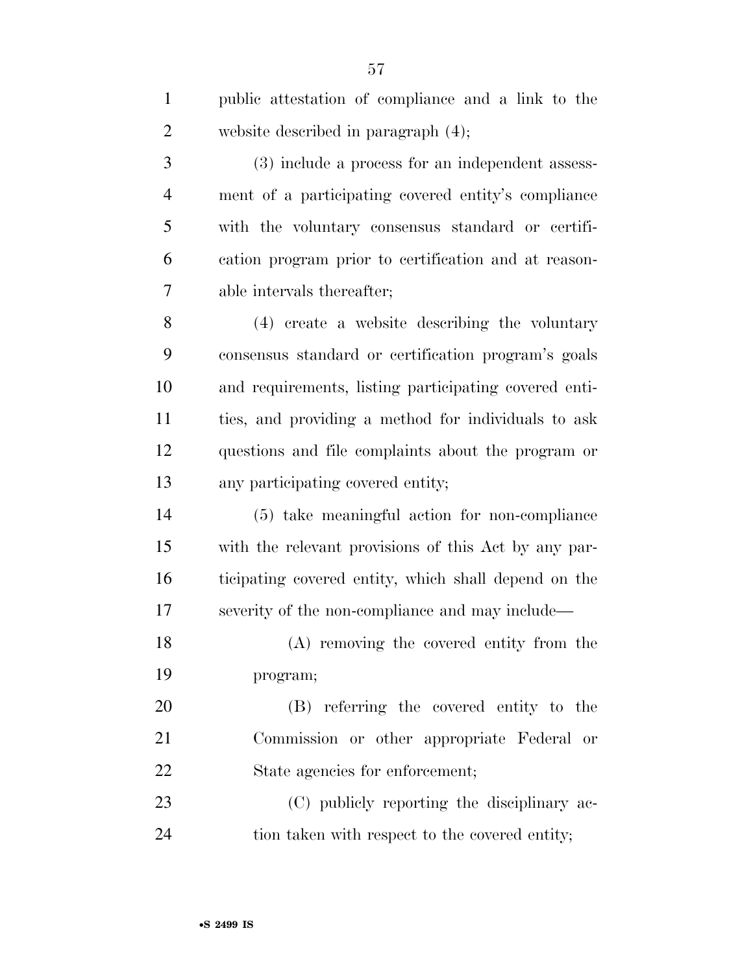| $\mathbf{1}$   | public attestation of compliance and a link to the    |
|----------------|-------------------------------------------------------|
| $\overline{2}$ | website described in paragraph $(4)$ ;                |
| 3              | (3) include a process for an independent assess-      |
| $\overline{4}$ | ment of a participating covered entity's compliance   |
| 5              | with the voluntary consensus standard or certifi-     |
| 6              | cation program prior to certification and at reason-  |
| 7              | able intervals thereafter;                            |
| 8              | (4) create a website describing the voluntary         |
| 9              | consensus standard or certification program's goals   |
| 10             | and requirements, listing participating covered enti- |
| 11             | ties, and providing a method for individuals to ask   |
| 12             | questions and file complaints about the program or    |
| 13             | any participating covered entity;                     |
| 14             | (5) take meaningful action for non-compliance         |
| 15             | with the relevant provisions of this Act by any par-  |
| 16             | ticipating covered entity, which shall depend on the  |
| 17             | severity of the non-compliance and may include—       |
| 18             | (A) removing the covered entity from the              |
| 19             | program;                                              |
| 20             | (B) referring the covered entity to the               |
| 21             | Commission or other appropriate Federal or            |
| 22             | State agencies for enforcement;                       |
| 23             | (C) publicly reporting the disciplinary ac-           |
| 24             | tion taken with respect to the covered entity;        |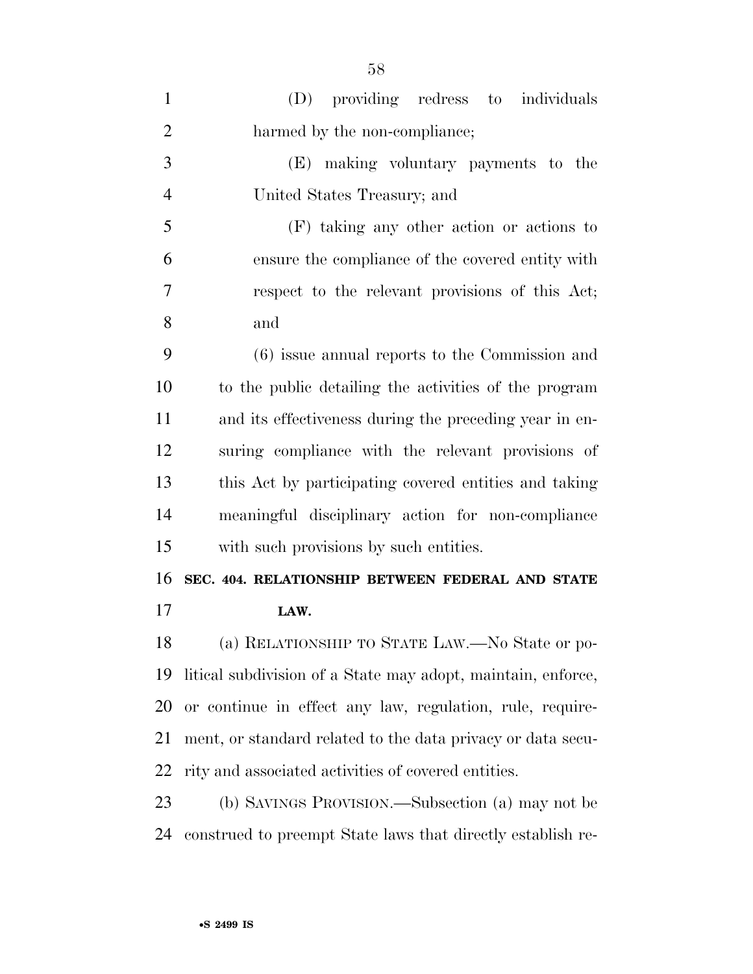| $\mathbf{1}$   | (D) providing redress to individuals                         |
|----------------|--------------------------------------------------------------|
| $\overline{2}$ | harmed by the non-compliance;                                |
| 3              | (E) making voluntary payments to the                         |
| $\overline{4}$ | United States Treasury; and                                  |
| 5              | $(F)$ taking any other action or actions to                  |
| 6              | ensure the compliance of the covered entity with             |
| $\overline{7}$ | respect to the relevant provisions of this Act;              |
| 8              | and                                                          |
| 9              | (6) issue annual reports to the Commission and               |
| 10             | to the public detailing the activities of the program        |
| 11             | and its effectiveness during the preceding year in en-       |
| 12             | suring compliance with the relevant provisions of            |
| 13             | this Act by participating covered entities and taking        |
| 14             | meaningful disciplinary action for non-compliance            |
| 15             | with such provisions by such entities.                       |
| 16             | SEC. 404. RELATIONSHIP BETWEEN FEDERAL AND STATE             |
| 17             | LAW.                                                         |
| 18             | (a) RELATIONSHIP TO STATE LAW.—No State or po-               |
| 19             | litical subdivision of a State may adopt, maintain, enforce, |
| 20             | or continue in effect any law, regulation, rule, require-    |
| 21             | ment, or standard related to the data privacy or data secu-  |
| 22             | rity and associated activities of covered entities.          |
| 23             | (b) SAVINGS PROVISION.—Subsection (a) may not be             |
| 24             | construed to preempt State laws that directly establish re-  |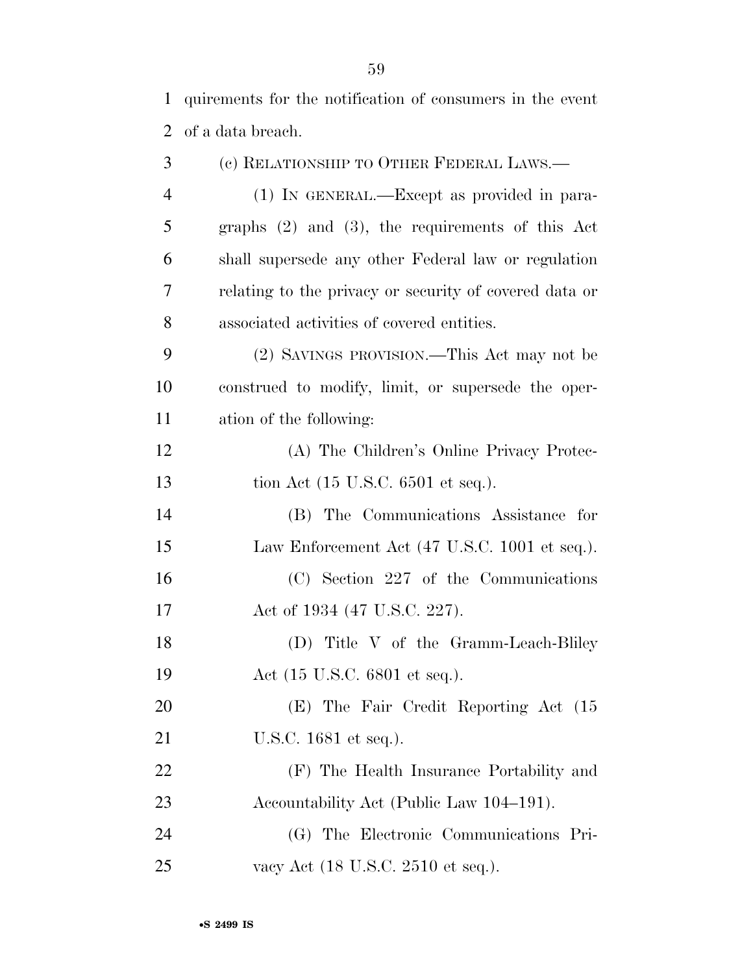quirements for the notification of consumers in the event of a data breach.

| 3              | (c) RELATIONSHIP TO OTHER FEDERAL LAWS.—               |
|----------------|--------------------------------------------------------|
| $\overline{4}$ | (1) IN GENERAL.—Except as provided in para-            |
| 5              | graphs $(2)$ and $(3)$ , the requirements of this Act  |
| 6              | shall supersede any other Federal law or regulation    |
| 7              | relating to the privacy or security of covered data or |
| 8              | associated activities of covered entities.             |
| 9              | (2) SAVINGS PROVISION.—This Act may not be             |
| 10             | construed to modify, limit, or supersede the oper-     |
| 11             | ation of the following:                                |
| 12             | (A) The Children's Online Privacy Protec-              |
| 13             | tion Act $(15 \text{ U.S.C. } 6501 \text{ et seq.}).$  |
| 14             | (B) The Communications Assistance for                  |
| 15             | Law Enforcement Act (47 U.S.C. 1001 et seq.).          |
| 16             | $(C)$ Section 227 of the Communications                |
| 17             | Act of 1934 (47 U.S.C. 227).                           |
| 18             | (D) Title V of the Gramm-Leach-Bliley                  |
| 19             | Act $(15 \text{ U.S.C. } 6801 \text{ et seq.}).$       |
| 20             | (E) The Fair Credit Reporting Act (15                  |
| 21             | U.S.C. 1681 et seq.).                                  |
| 22             | (F) The Health Insurance Portability and               |
| 23             | Accountability Act (Public Law 104–191).               |
| 24             | (G) The Electronic Communications Pri-                 |
| 25             | vacy Act (18 U.S.C. 2510 et seq.).                     |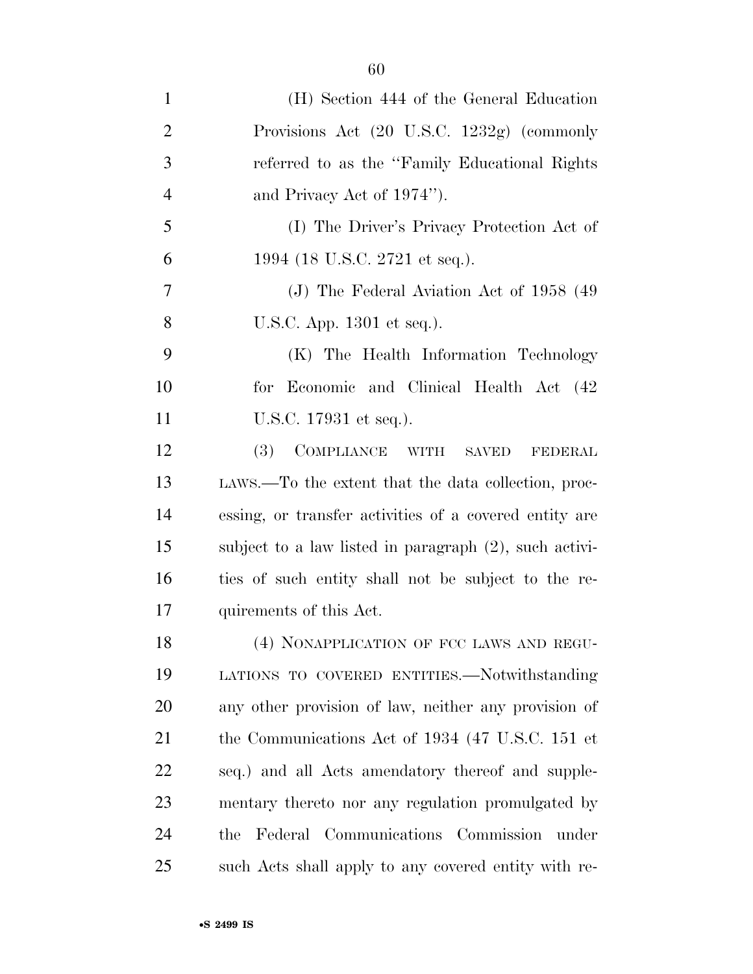| $\mathbf{1}$   | (H) Section 444 of the General Education                        |
|----------------|-----------------------------------------------------------------|
| $\overline{2}$ | Provisions Act (20 U.S.C. 1232g) (commonly                      |
| 3              | referred to as the "Family Educational Rights                   |
| $\overline{4}$ | and Privacy Act of 1974").                                      |
| 5              | (I) The Driver's Privacy Protection Act of                      |
| 6              | 1994 (18 U.S.C. 2721 et seq.).                                  |
| 7              | (J) The Federal Aviation Act of 1958 (49)                       |
| 8              | U.S.C. App. 1301 et seq.).                                      |
| 9              | (K) The Health Information Technology                           |
| 10             | for Economic and Clinical Health Act (42                        |
| 11             | U.S.C. 17931 et seq.).                                          |
| 12             | COMPLIANCE WITH<br><b>(3)</b><br><b>SAVED</b><br><b>FEDERAL</b> |
| 13             | LAWS.—To the extent that the data collection, proc-             |
| 14             | essing, or transfer activities of a covered entity are          |
| 15             | subject to a law listed in paragraph (2), such activi-          |
| 16             | ties of such entity shall not be subject to the re-             |
| 17             | quirements of this Act.                                         |
| 18             | (4) NONAPPLICATION OF FCC LAWS AND REGU-                        |
| 19             | LATIONS TO COVERED ENTITIES.—Notwithstanding                    |
| 20             | any other provision of law, neither any provision of            |
| 21             | the Communications Act of 1934 (47 U.S.C. 151 et                |
| 22             | seq.) and all Acts amendatory thereof and supple-               |
| 23             | mentary thereto nor any regulation promulgated by               |
| 24             | Federal Communications Commission under<br>the                  |
| 25             | such Acts shall apply to any covered entity with re-            |